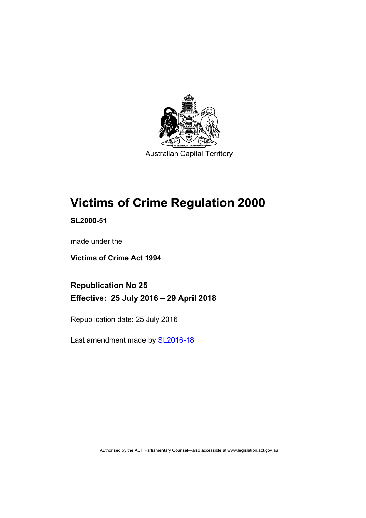

# **Victims of Crime Regulation 2000**

**SL2000-51** 

made under the

**Victims of Crime Act 1994** 

**Republication No 25 Effective: 25 July 2016 – 29 April 2018** 

Republication date: 25 July 2016

Last amendment made by [SL2016-18](http://www.legislation.act.gov.au/sl/2016-18)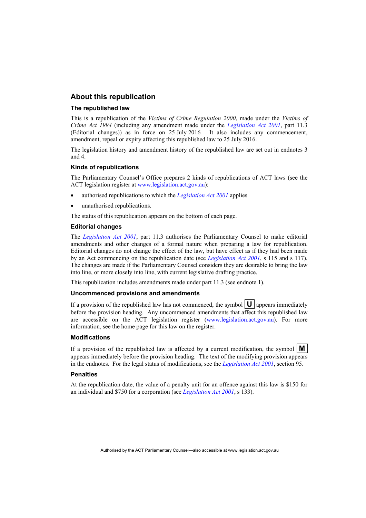### **About this republication**

#### **The republished law**

This is a republication of the *Victims of Crime Regulation 2000*, made under the *Victims of Crime Act 1994* (including any amendment made under the *[Legislation Act 2001](http://www.legislation.act.gov.au/a/2001-14)*, part 11.3 (Editorial changes)) as in force on 25 July 2016*.* It also includes any commencement, amendment, repeal or expiry affecting this republished law to 25 July 2016.

The legislation history and amendment history of the republished law are set out in endnotes 3 and 4.

#### **Kinds of republications**

The Parliamentary Counsel's Office prepares 2 kinds of republications of ACT laws (see the ACT legislation register at [www.legislation.act.gov.au](http://www.legislation.act.gov.au/)):

- authorised republications to which the *[Legislation Act 2001](http://www.legislation.act.gov.au/a/2001-14)* applies
- unauthorised republications.

The status of this republication appears on the bottom of each page.

#### **Editorial changes**

The *[Legislation Act 2001](http://www.legislation.act.gov.au/a/2001-14)*, part 11.3 authorises the Parliamentary Counsel to make editorial amendments and other changes of a formal nature when preparing a law for republication. Editorial changes do not change the effect of the law, but have effect as if they had been made by an Act commencing on the republication date (see *[Legislation Act 2001](http://www.legislation.act.gov.au/a/2001-14)*, s 115 and s 117). The changes are made if the Parliamentary Counsel considers they are desirable to bring the law into line, or more closely into line, with current legislative drafting practice.

This republication includes amendments made under part 11.3 (see endnote 1).

#### **Uncommenced provisions and amendments**

If a provision of the republished law has not commenced, the symbol  $\mathbf{U}$  appears immediately before the provision heading. Any uncommenced amendments that affect this republished law are accessible on the ACT legislation register [\(www.legislation.act.gov.au\)](http://www.legislation.act.gov.au/). For more information, see the home page for this law on the register.

#### **Modifications**

If a provision of the republished law is affected by a current modification, the symbol  $\mathbf{M}$ appears immediately before the provision heading. The text of the modifying provision appears in the endnotes. For the legal status of modifications, see the *[Legislation Act 2001](http://www.legislation.act.gov.au/a/2001-14)*, section 95.

#### **Penalties**

At the republication date, the value of a penalty unit for an offence against this law is \$150 for an individual and \$750 for a corporation (see *[Legislation Act 2001](http://www.legislation.act.gov.au/a/2001-14)*, s 133).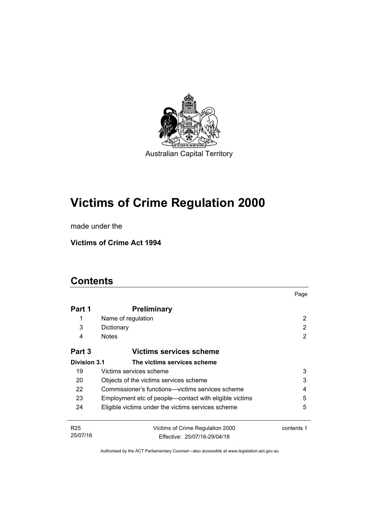

# **Victims of Crime Regulation 2000**

made under the

**Victims of Crime Act 1994** 

## **Contents**

|                     |                                                        | Page       |
|---------------------|--------------------------------------------------------|------------|
| Part 1              | <b>Preliminary</b>                                     |            |
| 1                   | Name of regulation                                     | 2          |
| 3                   | Dictionary                                             | 2          |
| 4                   | <b>Notes</b>                                           | 2          |
| Part 3              | Victims services scheme                                |            |
| <b>Division 3.1</b> | The victims services scheme                            |            |
| 19                  | Victims services scheme                                | 3          |
| 20                  | Objects of the victims services scheme                 | 3          |
| 22                  | Commissioner's functions—victims services scheme       | 4          |
| 23                  | Employment etc of people—contact with eligible victims | 5          |
| 24                  | Eligible victims under the victims services scheme     | 5          |
| R <sub>25</sub>     | Victims of Crime Regulation 2000                       | contents 1 |
| 25/07/16            | Effective: 25/07/16-29/04/18                           |            |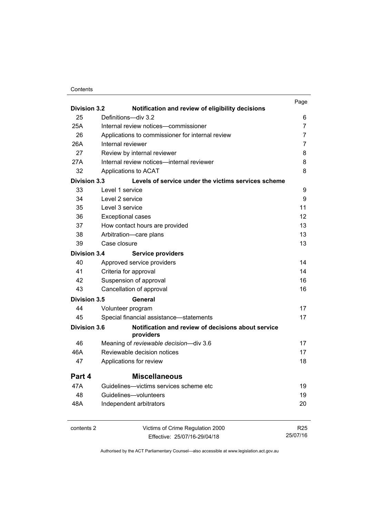#### **Contents**

| <b>Division 3.2</b> | Notification and review of eligibility decisions                | Page            |
|---------------------|-----------------------------------------------------------------|-----------------|
| 25                  | Definitions-div 3.2                                             | 6               |
| 25A                 | Internal review notices-commissioner                            | 7               |
| 26                  | Applications to commissioner for internal review                | $\overline{7}$  |
| 26A                 | Internal reviewer                                               | $\overline{7}$  |
| 27                  | Review by internal reviewer                                     | 8               |
| 27A                 | Internal review notices-internal reviewer                       | 8               |
| 32                  | Applications to ACAT                                            | 8               |
| <b>Division 3.3</b> | Levels of service under the victims services scheme             |                 |
| 33                  | Level 1 service                                                 | 9               |
| 34                  | Level 2 service                                                 | 9               |
| 35                  | Level 3 service                                                 | 11              |
| 36                  | <b>Exceptional cases</b>                                        | 12              |
| 37                  | How contact hours are provided                                  | 13              |
| 38                  | Arbitration-care plans                                          | 13              |
| 39                  | Case closure                                                    | 13              |
| <b>Division 3.4</b> | <b>Service providers</b>                                        |                 |
| 40                  | Approved service providers                                      | 14              |
| 41                  | Criteria for approval                                           | 14              |
| 42                  | Suspension of approval                                          | 16              |
| 43                  | Cancellation of approval                                        | 16              |
| <b>Division 3.5</b> | General                                                         |                 |
| 44                  | Volunteer program                                               | 17              |
| 45                  | Special financial assistance-statements                         | 17              |
| <b>Division 3.6</b> | Notification and review of decisions about service<br>providers |                 |
| 46                  | Meaning of reviewable decision-div 3.6                          | 17              |
| 46A                 | Reviewable decision notices                                     | 17              |
| 47                  | Applications for review                                         | 18              |
| Part 4              | <b>Miscellaneous</b>                                            |                 |
| 47A                 | Guidelines—victims services scheme etc                          | 19              |
| 48                  | Guidelines-volunteers                                           | 19              |
| 48A                 | Independent arbitrators                                         | 20              |
| contents 2          | Victims of Crime Regulation 2000                                | R <sub>25</sub> |
|                     | Effective: 25/07/16-29/04/18                                    | 25/07/16        |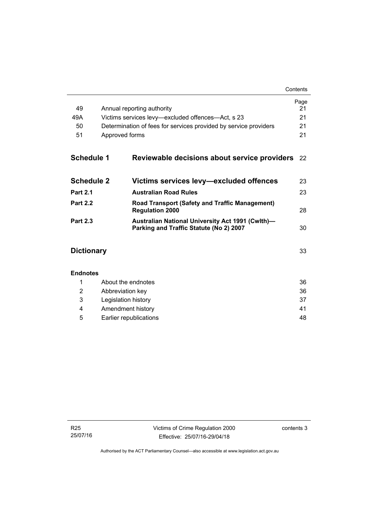|                   |                                                   |                                                                                                    | Page<br>21 |
|-------------------|---------------------------------------------------|----------------------------------------------------------------------------------------------------|------------|
| 49                | Annual reporting authority                        |                                                                                                    |            |
| 49A               | Victims services levy—excluded offences—Act, s 23 |                                                                                                    |            |
| 50                |                                                   | Determination of fees for services provided by service providers                                   | 21         |
| 51                | Approved forms                                    |                                                                                                    | 21         |
| <b>Schedule 1</b> |                                                   | Reviewable decisions about service providers                                                       | 22         |
| <b>Schedule 2</b> |                                                   | Victims services levy—excluded offences                                                            | 23         |
| <b>Part 2.1</b>   |                                                   | <b>Australian Road Rules</b>                                                                       | 23         |
| <b>Part 2.2</b>   |                                                   | <b>Road Transport (Safety and Traffic Management)</b><br><b>Regulation 2000</b>                    | 28         |
| <b>Part 2.3</b>   |                                                   | <b>Australian National University Act 1991 (Cwlth)-</b><br>Parking and Traffic Statute (No 2) 2007 | 30         |
| <b>Dictionary</b> |                                                   |                                                                                                    | 33         |
| <b>Endnotes</b>   |                                                   |                                                                                                    |            |
| 1                 |                                                   | About the endnotes                                                                                 | 36         |
| 2                 | Abbreviation key                                  |                                                                                                    | 36         |
| 3                 | Legislation history                               |                                                                                                    | 37         |
| 4                 | Amendment history                                 |                                                                                                    | 41         |

5 [Earlier republications 48](#page-53-0)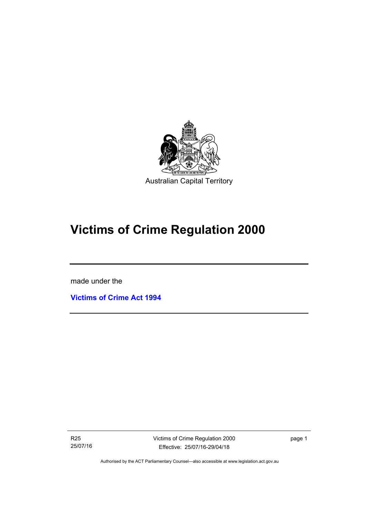

# **Victims of Crime Regulation 2000**

made under the

I

**[Victims of Crime Act 1994](http://www.legislation.act.gov.au/a/1994-83)**

R25 25/07/16 Victims of Crime Regulation 2000 Effective: 25/07/16-29/04/18

page 1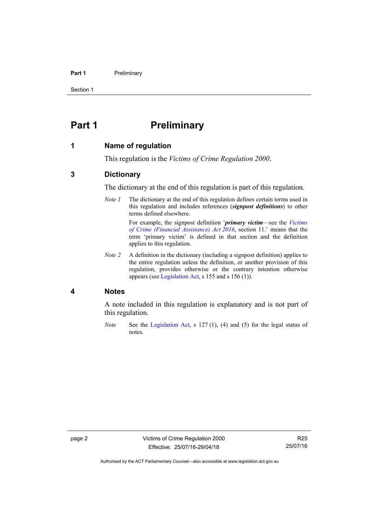#### **Part 1** Preliminary

Section 1

## <span id="page-7-0"></span>**Part 1** Preliminary

## <span id="page-7-1"></span>**1 Name of regulation**

This regulation is the *Victims of Crime Regulation 2000*.

## <span id="page-7-2"></span>**3 Dictionary**

The dictionary at the end of this regulation is part of this regulation.

*Note 1* The dictionary at the end of this regulation defines certain terms used in this regulation and includes references (*signpost definitions*) to other terms defined elsewhere.

> For example, the signpost definition '*primary victim*—see the *[Victims](http://www.legislation.act.gov.au/a/2016-12/default.asp)  [of Crime \(Financial Assistance\) Act 2016](http://www.legislation.act.gov.au/a/2016-12/default.asp)*, section 11.' means that the term 'primary victim' is defined in that section and the definition applies to this regulation.

*Note 2* A definition in the dictionary (including a signpost definition) applies to the entire regulation unless the definition, or another provision of this regulation, provides otherwise or the contrary intention otherwise appears (see [Legislation Act,](http://www.legislation.act.gov.au/a/2001-14) s 155 and s 156 (1)).

### <span id="page-7-3"></span>**4 Notes**

A note included in this regulation is explanatory and is not part of this regulation.

*Note* See the [Legislation Act,](http://www.legislation.act.gov.au/a/2001-14) s 127 (1), (4) and (5) for the legal status of notes.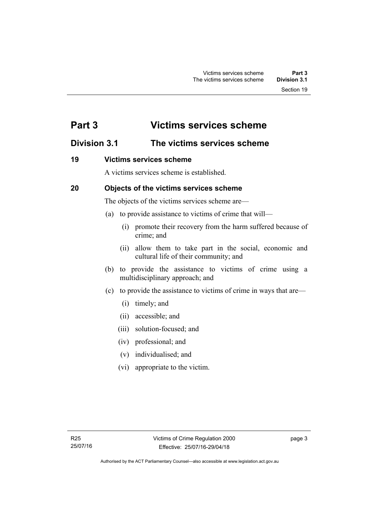## <span id="page-8-0"></span>**Part 3 Victims services scheme**

## <span id="page-8-1"></span>**Division 3.1 The victims services scheme**

## <span id="page-8-2"></span>**19 Victims services scheme**

A victims services scheme is established.

## <span id="page-8-3"></span>**20 Objects of the victims services scheme**

The objects of the victims services scheme are—

- (a) to provide assistance to victims of crime that will—
	- (i) promote their recovery from the harm suffered because of crime; and
	- (ii) allow them to take part in the social, economic and cultural life of their community; and
- (b) to provide the assistance to victims of crime using a multidisciplinary approach; and
- (c) to provide the assistance to victims of crime in ways that are—
	- (i) timely; and
	- (ii) accessible; and
	- (iii) solution-focused; and
	- (iv) professional; and
	- (v) individualised; and
	- (vi) appropriate to the victim.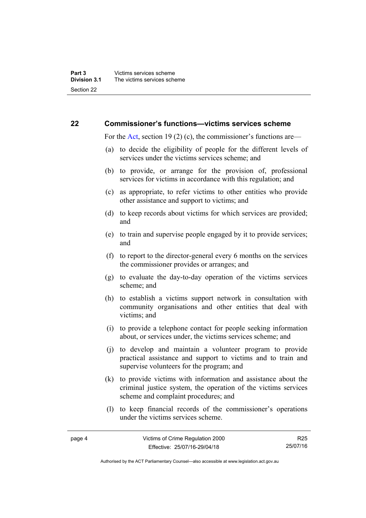## <span id="page-9-0"></span>**22 Commissioner's functions—victims services scheme**

For the [Act,](http://www.legislation.act.gov.au/a/1994-83/default.asp) section 19 (2) (c), the commissioner's functions are—

- (a) to decide the eligibility of people for the different levels of services under the victims services scheme; and
- (b) to provide, or arrange for the provision of, professional services for victims in accordance with this regulation; and
- (c) as appropriate, to refer victims to other entities who provide other assistance and support to victims; and
- (d) to keep records about victims for which services are provided; and
- (e) to train and supervise people engaged by it to provide services; and
- (f) to report to the director-general every 6 months on the services the commissioner provides or arranges; and
- (g) to evaluate the day-to-day operation of the victims services scheme; and
- (h) to establish a victims support network in consultation with community organisations and other entities that deal with victims; and
- (i) to provide a telephone contact for people seeking information about, or services under, the victims services scheme; and
- (j) to develop and maintain a volunteer program to provide practical assistance and support to victims and to train and supervise volunteers for the program; and
- (k) to provide victims with information and assistance about the criminal justice system, the operation of the victims services scheme and complaint procedures; and
- (l) to keep financial records of the commissioner's operations under the victims services scheme.

R25 25/07/16

Authorised by the ACT Parliamentary Counsel—also accessible at www.legislation.act.gov.au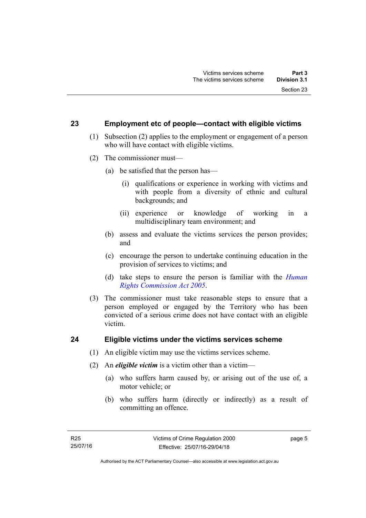### <span id="page-10-0"></span>**23 Employment etc of people—contact with eligible victims**

- (1) Subsection (2) applies to the employment or engagement of a person who will have contact with eligible victims.
- (2) The commissioner must—
	- (a) be satisfied that the person has—
		- (i) qualifications or experience in working with victims and with people from a diversity of ethnic and cultural backgrounds; and
		- (ii) experience or knowledge of working in a multidisciplinary team environment; and
	- (b) assess and evaluate the victims services the person provides; and
	- (c) encourage the person to undertake continuing education in the provision of services to victims; and
	- (d) take steps to ensure the person is familiar with the *[Human](http://www.legislation.act.gov.au/a/2005-40)  [Rights Commission Act 2005](http://www.legislation.act.gov.au/a/2005-40)*.
- (3) The commissioner must take reasonable steps to ensure that a person employed or engaged by the Territory who has been convicted of a serious crime does not have contact with an eligible victim.

## <span id="page-10-1"></span>**24 Eligible victims under the victims services scheme**

- (1) An eligible victim may use the victims services scheme.
- (2) An *eligible victim* is a victim other than a victim—
	- (a) who suffers harm caused by, or arising out of the use of, a motor vehicle; or
	- (b) who suffers harm (directly or indirectly) as a result of committing an offence.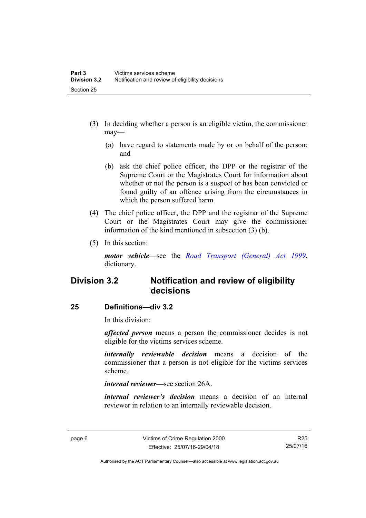- (3) In deciding whether a person is an eligible victim, the commissioner may—
	- (a) have regard to statements made by or on behalf of the person; and
	- (b) ask the chief police officer, the DPP or the registrar of the Supreme Court or the Magistrates Court for information about whether or not the person is a suspect or has been convicted or found guilty of an offence arising from the circumstances in which the person suffered harm.
- (4) The chief police officer, the DPP and the registrar of the Supreme Court or the Magistrates Court may give the commissioner information of the kind mentioned in subsection (3) (b).
- (5) In this section:

*motor vehicle*—see the *[Road Transport \(General\) Act 1999](http://www.legislation.act.gov.au/a/1999-77)*, dictionary.

## <span id="page-11-0"></span>**Division 3.2 Notification and review of eligibility decisions**

## <span id="page-11-1"></span>**25 Definitions—div 3.2**

In this division:

*affected person* means a person the commissioner decides is not eligible for the victims services scheme.

*internally reviewable decision* means a decision of the commissioner that a person is not eligible for the victims services scheme.

*internal reviewer—*see section 26A.

*internal reviewer's decision* means a decision of an internal reviewer in relation to an internally reviewable decision.

R25 25/07/16

Authorised by the ACT Parliamentary Counsel—also accessible at www.legislation.act.gov.au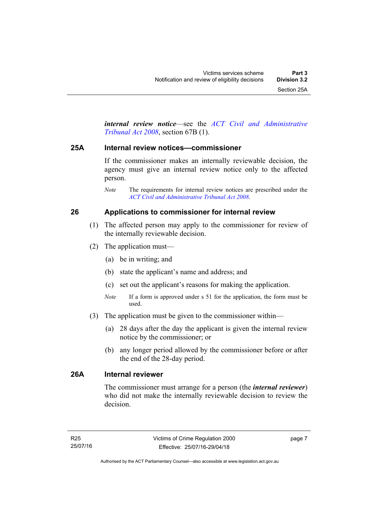*internal review notice*—see the *[ACT Civil and Administrative](http://www.legislation.act.gov.au/a/2008-35)  [Tribunal Act 2008](http://www.legislation.act.gov.au/a/2008-35)*, section 67B (1).

### <span id="page-12-0"></span>**25A Internal review notices—commissioner**

If the commissioner makes an internally reviewable decision, the agency must give an internal review notice only to the affected person.

*Note* The requirements for internal review notices are prescribed under the *[ACT Civil and Administrative Tribunal Act 2008](http://www.legislation.act.gov.au/a/2008-35)*.

## <span id="page-12-1"></span>**26 Applications to commissioner for internal review**

- (1) The affected person may apply to the commissioner for review of the internally reviewable decision.
- (2) The application must—
	- (a) be in writing; and
	- (b) state the applicant's name and address; and
	- (c) set out the applicant's reasons for making the application.
	- *Note* If a form is approved under s 51 for the application, the form must be used.
- (3) The application must be given to the commissioner within—
	- (a) 28 days after the day the applicant is given the internal review notice by the commissioner; or
	- (b) any longer period allowed by the commissioner before or after the end of the 28-day period.

## <span id="page-12-2"></span>**26A Internal reviewer**

The commissioner must arrange for a person (the *internal reviewer*) who did not make the internally reviewable decision to review the decision.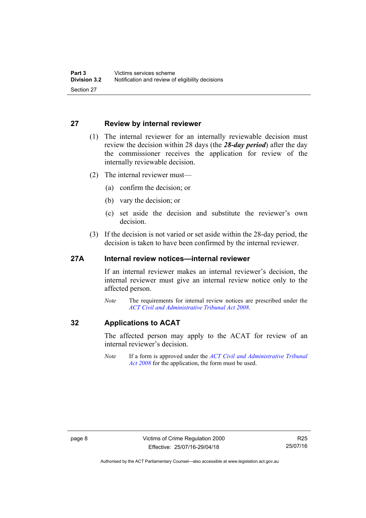## <span id="page-13-0"></span>**27 Review by internal reviewer**

- (1) The internal reviewer for an internally reviewable decision must review the decision within 28 days (the *28-day period*) after the day the commissioner receives the application for review of the internally reviewable decision.
- (2) The internal reviewer must—
	- (a) confirm the decision; or
	- (b) vary the decision; or
	- (c) set aside the decision and substitute the reviewer's own decision.
- (3) If the decision is not varied or set aside within the 28-day period, the decision is taken to have been confirmed by the internal reviewer.

### <span id="page-13-1"></span>**27A Internal review notices—internal reviewer**

If an internal reviewer makes an internal reviewer's decision, the internal reviewer must give an internal review notice only to the affected person.

*Note* The requirements for internal review notices are prescribed under the *[ACT Civil and Administrative Tribunal Act 2008](http://www.legislation.act.gov.au/a/2008-35)*.

## <span id="page-13-2"></span>**32 Applications to ACAT**

The affected person may apply to the ACAT for review of an internal reviewer's decision.

*Note* If a form is approved under the *[ACT Civil and Administrative Tribunal](http://www.legislation.act.gov.au/a/2008-35)  [Act 2008](http://www.legislation.act.gov.au/a/2008-35)* for the application, the form must be used.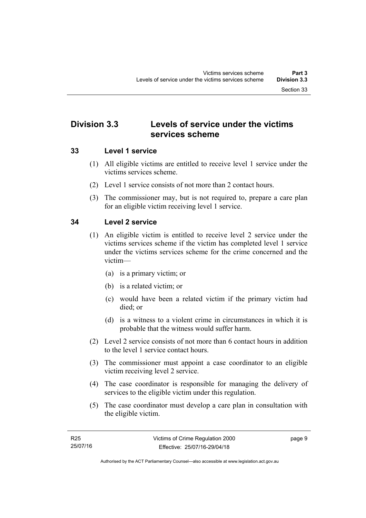## <span id="page-14-0"></span>**Division 3.3 Levels of service under the victims services scheme**

## <span id="page-14-1"></span>**33 Level 1 service**

- (1) All eligible victims are entitled to receive level 1 service under the victims services scheme.
- (2) Level 1 service consists of not more than 2 contact hours.
- (3) The commissioner may, but is not required to, prepare a care plan for an eligible victim receiving level 1 service.

## <span id="page-14-2"></span>**34 Level 2 service**

- (1) An eligible victim is entitled to receive level 2 service under the victims services scheme if the victim has completed level 1 service under the victims services scheme for the crime concerned and the victim—
	- (a) is a primary victim; or
	- (b) is a related victim; or
	- (c) would have been a related victim if the primary victim had died; or
	- (d) is a witness to a violent crime in circumstances in which it is probable that the witness would suffer harm.
- (2) Level 2 service consists of not more than 6 contact hours in addition to the level 1 service contact hours.
- (3) The commissioner must appoint a case coordinator to an eligible victim receiving level 2 service.
- (4) The case coordinator is responsible for managing the delivery of services to the eligible victim under this regulation.
- (5) The case coordinator must develop a care plan in consultation with the eligible victim.

page 9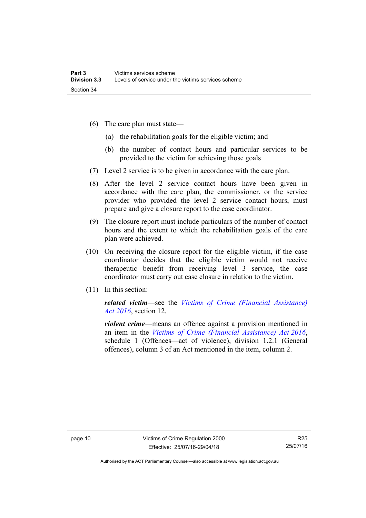- (6) The care plan must state—
	- (a) the rehabilitation goals for the eligible victim; and
	- (b) the number of contact hours and particular services to be provided to the victim for achieving those goals
- (7) Level 2 service is to be given in accordance with the care plan.
- (8) After the level 2 service contact hours have been given in accordance with the care plan, the commissioner, or the service provider who provided the level 2 service contact hours, must prepare and give a closure report to the case coordinator.
- (9) The closure report must include particulars of the number of contact hours and the extent to which the rehabilitation goals of the care plan were achieved.
- (10) On receiving the closure report for the eligible victim, if the case coordinator decides that the eligible victim would not receive therapeutic benefit from receiving level 3 service, the case coordinator must carry out case closure in relation to the victim.
- (11) In this section:

*related victim*—see the *[Victims of Crime \(Financial Assistance\)](http://www.legislation.act.gov.au/a/2016-12/default.asp)  [Act 2016](http://www.legislation.act.gov.au/a/2016-12/default.asp)*, section 12.

*violent crime*—means an offence against a provision mentioned in an item in the *[Victims of Crime \(Financial Assistance\) Act 2016](http://www.legislation.act.gov.au/a/2016-12/default.asp)*, schedule 1 (Offences—act of violence), division 1.2.1 (General offences), column 3 of an Act mentioned in the item, column 2.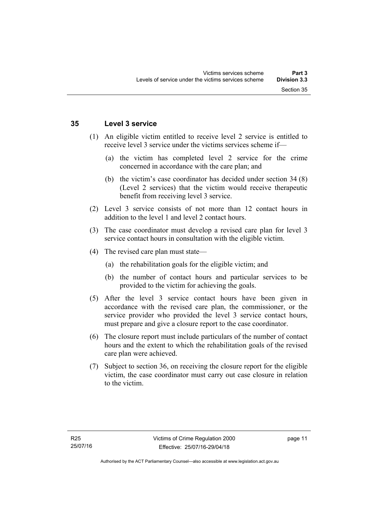## <span id="page-16-0"></span>**35 Level 3 service**

- (1) An eligible victim entitled to receive level 2 service is entitled to receive level 3 service under the victims services scheme if—
	- (a) the victim has completed level 2 service for the crime concerned in accordance with the care plan; and
	- (b) the victim's case coordinator has decided under section 34 (8) (Level 2 services) that the victim would receive therapeutic benefit from receiving level 3 service.
- (2) Level 3 service consists of not more than 12 contact hours in addition to the level 1 and level 2 contact hours.
- (3) The case coordinator must develop a revised care plan for level 3 service contact hours in consultation with the eligible victim.
- (4) The revised care plan must state—
	- (a) the rehabilitation goals for the eligible victim; and
	- (b) the number of contact hours and particular services to be provided to the victim for achieving the goals.
- (5) After the level 3 service contact hours have been given in accordance with the revised care plan, the commissioner, or the service provider who provided the level 3 service contact hours, must prepare and give a closure report to the case coordinator.
- (6) The closure report must include particulars of the number of contact hours and the extent to which the rehabilitation goals of the revised care plan were achieved.
- (7) Subject to section 36, on receiving the closure report for the eligible victim, the case coordinator must carry out case closure in relation to the victim.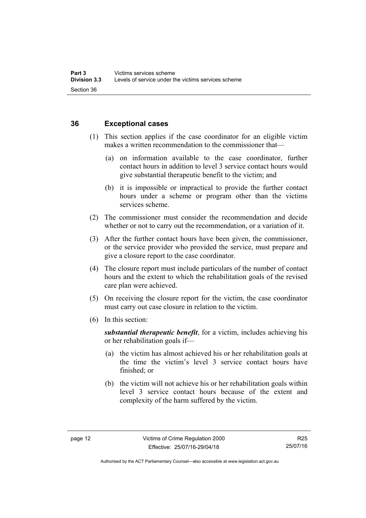## <span id="page-17-0"></span>**36 Exceptional cases**

- (1) This section applies if the case coordinator for an eligible victim makes a written recommendation to the commissioner that—
	- (a) on information available to the case coordinator, further contact hours in addition to level 3 service contact hours would give substantial therapeutic benefit to the victim; and
	- (b) it is impossible or impractical to provide the further contact hours under a scheme or program other than the victims services scheme.
- (2) The commissioner must consider the recommendation and decide whether or not to carry out the recommendation, or a variation of it.
- (3) After the further contact hours have been given, the commissioner, or the service provider who provided the service, must prepare and give a closure report to the case coordinator.
- (4) The closure report must include particulars of the number of contact hours and the extent to which the rehabilitation goals of the revised care plan were achieved.
- (5) On receiving the closure report for the victim, the case coordinator must carry out case closure in relation to the victim.
- (6) In this section:

*substantial therapeutic benefit*, for a victim, includes achieving his or her rehabilitation goals if—

- (a) the victim has almost achieved his or her rehabilitation goals at the time the victim's level 3 service contact hours have finished; or
- (b) the victim will not achieve his or her rehabilitation goals within level 3 service contact hours because of the extent and complexity of the harm suffered by the victim.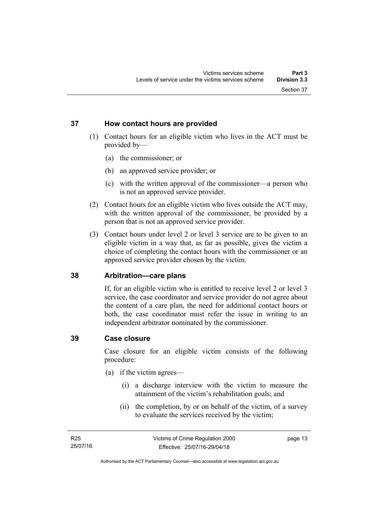## <span id="page-18-0"></span>**37 How contact hours are provided**

- (1) Contact hours for an eligible victim who lives in the ACT must be provided by—
	- (a) the commissioner; or
	- (b) an approved service provider; or
	- (c) with the written approval of the commissioner—a person who is not an approved service provider.
- (2) Contact hours for an eligible victim who lives outside the ACT may, with the written approval of the commissioner, be provided by a person that is not an approved service provider.
- (3) Contact hours under level 2 or level 3 service are to be given to an eligible victim in a way that, as far as possible, gives the victim a choice of completing the contact hours with the commissioner or an approved service provider chosen by the victim.

## <span id="page-18-1"></span>**38 Arbitration—care plans**

If, for an eligible victim who is entitled to receive level 2 or level 3 service, the case coordinator and service provider do not agree about the content of a care plan, the need for additional contact hours or both, the case coordinator must refer the issue in writing to an independent arbitrator nominated by the commissioner.

## <span id="page-18-2"></span>**39 Case closure**

Case closure for an eligible victim consists of the following procedure:

- (a) if the victim agrees—
	- (i) a discharge interview with the victim to measure the attainment of the victim's rehabilitation goals; and
	- (ii) the completion, by or on behalf of the victim, of a survey to evaluate the services received by the victim;

page 13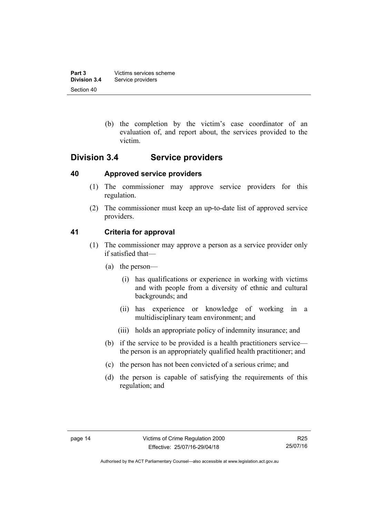| Part 3              | Victims services scheme |
|---------------------|-------------------------|
| <b>Division 3.4</b> | Service providers       |
| Section 40          |                         |

 (b) the completion by the victim's case coordinator of an evaluation of, and report about, the services provided to the victim.

## <span id="page-19-0"></span>**Division 3.4 Service providers**

## <span id="page-19-1"></span>**40 Approved service providers**

- (1) The commissioner may approve service providers for this regulation.
- (2) The commissioner must keep an up-to-date list of approved service providers.

## <span id="page-19-2"></span>**41 Criteria for approval**

- (1) The commissioner may approve a person as a service provider only if satisfied that—
	- (a) the person—
		- (i) has qualifications or experience in working with victims and with people from a diversity of ethnic and cultural backgrounds; and
		- (ii) has experience or knowledge of working in a multidisciplinary team environment; and
		- (iii) holds an appropriate policy of indemnity insurance; and
	- (b) if the service to be provided is a health practitioners service the person is an appropriately qualified health practitioner; and
	- (c) the person has not been convicted of a serious crime; and
	- (d) the person is capable of satisfying the requirements of this regulation; and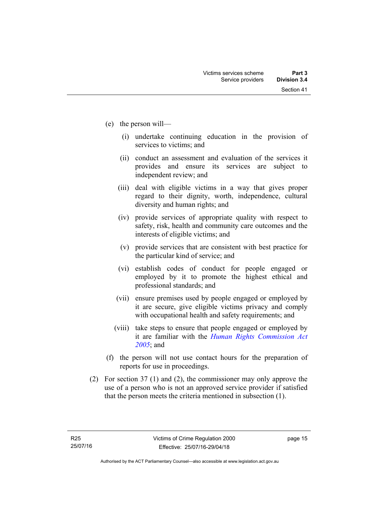- (e) the person will—
	- (i) undertake continuing education in the provision of services to victims; and
	- (ii) conduct an assessment and evaluation of the services it provides and ensure its services are subject to independent review; and
	- (iii) deal with eligible victims in a way that gives proper regard to their dignity, worth, independence, cultural diversity and human rights; and
	- (iv) provide services of appropriate quality with respect to safety, risk, health and community care outcomes and the interests of eligible victims; and
	- (v) provide services that are consistent with best practice for the particular kind of service; and
	- (vi) establish codes of conduct for people engaged or employed by it to promote the highest ethical and professional standards; and
	- (vii) ensure premises used by people engaged or employed by it are secure, give eligible victims privacy and comply with occupational health and safety requirements; and
	- (viii) take steps to ensure that people engaged or employed by it are familiar with the *[Human Rights Commission Act](http://www.legislation.act.gov.au/a/2005-40)  [2005](http://www.legislation.act.gov.au/a/2005-40)*; and
- (f) the person will not use contact hours for the preparation of reports for use in proceedings.
- (2) For section 37 (1) and (2), the commissioner may only approve the use of a person who is not an approved service provider if satisfied that the person meets the criteria mentioned in subsection (1).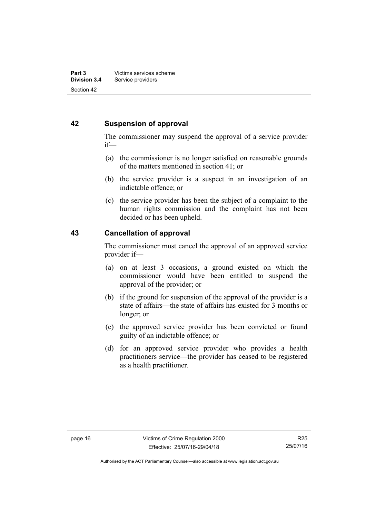## <span id="page-21-0"></span>**42 Suspension of approval**

The commissioner may suspend the approval of a service provider if—

- (a) the commissioner is no longer satisfied on reasonable grounds of the matters mentioned in section 41; or
- (b) the service provider is a suspect in an investigation of an indictable offence; or
- (c) the service provider has been the subject of a complaint to the human rights commission and the complaint has not been decided or has been upheld.

## <span id="page-21-1"></span>**43 Cancellation of approval**

The commissioner must cancel the approval of an approved service provider if—

- (a) on at least 3 occasions, a ground existed on which the commissioner would have been entitled to suspend the approval of the provider; or
- (b) if the ground for suspension of the approval of the provider is a state of affairs—the state of affairs has existed for 3 months or longer; or
- (c) the approved service provider has been convicted or found guilty of an indictable offence; or
- (d) for an approved service provider who provides a health practitioners service—the provider has ceased to be registered as a health practitioner.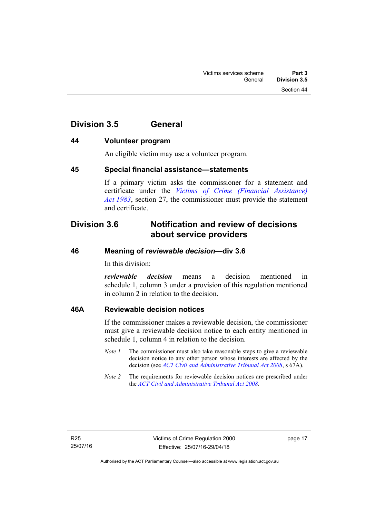## <span id="page-22-0"></span>**Division 3.5 General**

## <span id="page-22-1"></span>**44 Volunteer program**

An eligible victim may use a volunteer program.

## <span id="page-22-2"></span>**45 Special financial assistance—statements**

If a primary victim asks the commissioner for a statement and certificate under the *[Victims of Crime \(Financial Assistance\)](http://www.legislation.act.gov.au/a/1983-11)  [Act 1983](http://www.legislation.act.gov.au/a/1983-11)*, section 27, the commissioner must provide the statement and certificate.

## <span id="page-22-3"></span>**Division 3.6 Notification and review of decisions about service providers**

## <span id="page-22-4"></span>**46 Meaning of** *reviewable decision—***div 3.6**

In this division:

*reviewable decision* means a decision mentioned in schedule 1, column 3 under a provision of this regulation mentioned in column 2 in relation to the decision.

## <span id="page-22-5"></span>**46A Reviewable decision notices**

If the commissioner makes a reviewable decision, the commissioner must give a reviewable decision notice to each entity mentioned in schedule 1, column 4 in relation to the decision.

- *Note 1* The commissioner must also take reasonable steps to give a reviewable decision notice to any other person whose interests are affected by the decision (see *[ACT Civil and Administrative Tribunal Act 2008](http://www.legislation.act.gov.au/a/2008-35)*, s 67A).
- *Note 2* The requirements for reviewable decision notices are prescribed under the *[ACT Civil and Administrative Tribunal Act 2008](http://www.legislation.act.gov.au/a/2008-35)*.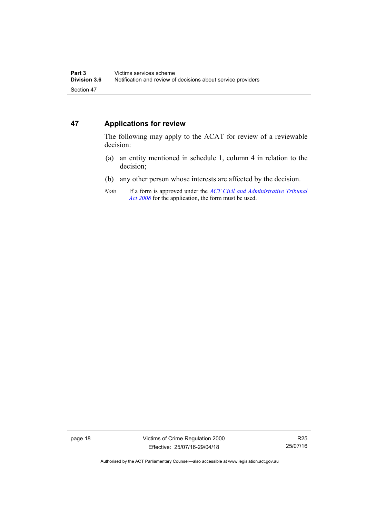## <span id="page-23-0"></span>**47 Applications for review**

The following may apply to the ACAT for review of a reviewable decision:

- (a) an entity mentioned in schedule 1, column 4 in relation to the decision;
- (b) any other person whose interests are affected by the decision.
- *Note* If a form is approved under the *[ACT Civil and Administrative Tribunal](http://www.legislation.act.gov.au/a/2008-35)  [Act 2008](http://www.legislation.act.gov.au/a/2008-35)* for the application, the form must be used.

page 18 Victims of Crime Regulation 2000 Effective: 25/07/16-29/04/18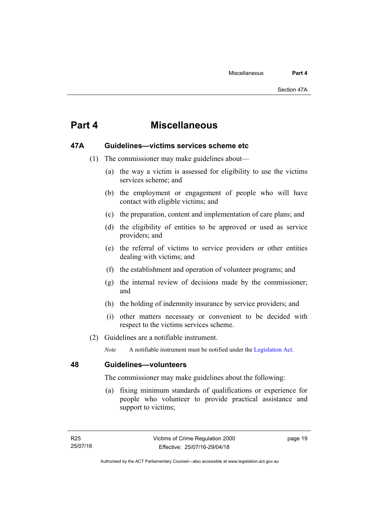## <span id="page-24-0"></span>**Part 4 Miscellaneous**

## <span id="page-24-1"></span>**47A Guidelines—victims services scheme etc**

- (1) The commissioner may make guidelines about—
	- (a) the way a victim is assessed for eligibility to use the victims services scheme; and
	- (b) the employment or engagement of people who will have contact with eligible victims; and
	- (c) the preparation, content and implementation of care plans; and
	- (d) the eligibility of entities to be approved or used as service providers; and
	- (e) the referral of victims to service providers or other entities dealing with victims; and
	- (f) the establishment and operation of volunteer programs; and
	- (g) the internal review of decisions made by the commissioner; and
	- (h) the holding of indemnity insurance by service providers; and
	- (i) other matters necessary or convenient to be decided with respect to the victims services scheme.
- (2) Guidelines are a notifiable instrument.

*Note* A notifiable instrument must be notified under the [Legislation Act](http://www.legislation.act.gov.au/a/2001-14).

<span id="page-24-2"></span>**48 Guidelines—volunteers** 

The commissioner may make guidelines about the following:

 (a) fixing minimum standards of qualifications or experience for people who volunteer to provide practical assistance and support to victims;

page 19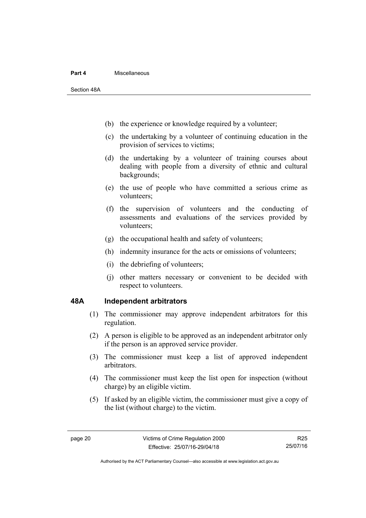#### **Part 4** Miscellaneous

Section 48A

- (b) the experience or knowledge required by a volunteer;
- (c) the undertaking by a volunteer of continuing education in the provision of services to victims;
- (d) the undertaking by a volunteer of training courses about dealing with people from a diversity of ethnic and cultural backgrounds;
- (e) the use of people who have committed a serious crime as volunteers;
- (f) the supervision of volunteers and the conducting of assessments and evaluations of the services provided by volunteers;
- (g) the occupational health and safety of volunteers;
- (h) indemnity insurance for the acts or omissions of volunteers;
- (i) the debriefing of volunteers;
- (j) other matters necessary or convenient to be decided with respect to volunteers.

## <span id="page-25-0"></span>**48A Independent arbitrators**

- (1) The commissioner may approve independent arbitrators for this regulation.
- (2) A person is eligible to be approved as an independent arbitrator only if the person is an approved service provider.
- (3) The commissioner must keep a list of approved independent arbitrators.
- (4) The commissioner must keep the list open for inspection (without charge) by an eligible victim.
- (5) If asked by an eligible victim, the commissioner must give a copy of the list (without charge) to the victim.

R25 25/07/16

Authorised by the ACT Parliamentary Counsel—also accessible at www.legislation.act.gov.au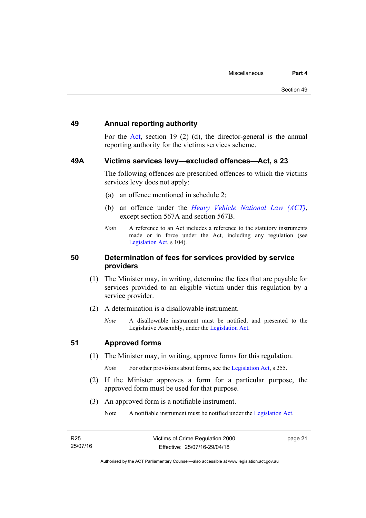### <span id="page-26-0"></span>**49 Annual reporting authority**

For the [Act,](http://www.legislation.act.gov.au/a/1994-83/default.asp) section 19 (2) (d), the director-general is the annual reporting authority for the victims services scheme.

### <span id="page-26-1"></span>**49A Victims services levy—excluded offences—Act, s 23**

The following offences are prescribed offences to which the victims services levy does not apply:

- (a) an offence mentioned in schedule 2;
- (b) an offence under the *[Heavy Vehicle National Law \(ACT\)](http://www.legislation.act.gov.au/a/db_49155/default.asp)*, except section 567A and section 567B.
- *Note* A reference to an Act includes a reference to the statutory instruments made or in force under the Act, including any regulation (see [Legislation Act,](http://www.legislation.act.gov.au/a/2001-14) s 104).

### <span id="page-26-2"></span>**50 Determination of fees for services provided by service providers**

- (1) The Minister may, in writing, determine the fees that are payable for services provided to an eligible victim under this regulation by a service provider.
- (2) A determination is a disallowable instrument.
	- *Note* A disallowable instrument must be notified, and presented to the Legislative Assembly, under the [Legislation Act.](http://www.legislation.act.gov.au/a/2001-14)

## <span id="page-26-3"></span>**51 Approved forms**

(1) The Minister may, in writing, approve forms for this regulation.

*Note* For other provisions about forms, see the [Legislation Act,](http://www.legislation.act.gov.au/a/2001-14) s 255.

- (2) If the Minister approves a form for a particular purpose, the approved form must be used for that purpose.
- (3) An approved form is a notifiable instrument.

Note A notifiable instrument must be notified under the [Legislation Act](http://www.legislation.act.gov.au/a/2001-14).

page 21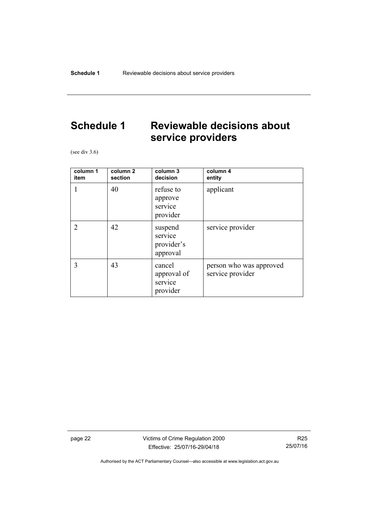## <span id="page-27-0"></span>**Schedule 1 Reviewable decisions about service providers**

(see div 3.6)

| column 1<br>item            | column <sub>2</sub><br>section | column 3<br>decision                         | column 4<br>entity                          |
|-----------------------------|--------------------------------|----------------------------------------------|---------------------------------------------|
| 1                           | 40                             | refuse to<br>approve<br>service<br>provider  | applicant                                   |
| $\mathcal{D}_{\mathcal{A}}$ | 42                             | suspend<br>service<br>provider's<br>approval | service provider                            |
| 3                           | 43                             | cancel<br>approval of<br>service<br>provider | person who was approved<br>service provider |

page 22 Victims of Crime Regulation 2000 Effective: 25/07/16-29/04/18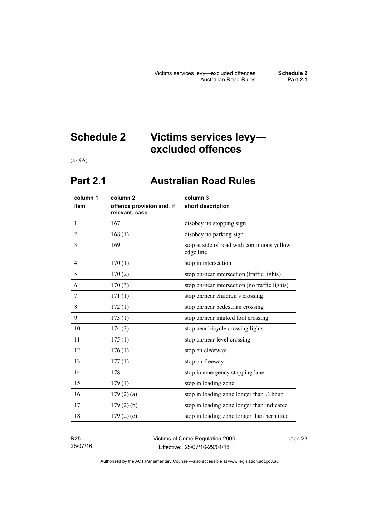## <span id="page-28-0"></span>**Schedule 2 Victims services levy excluded offences**

(s 49A)

## <span id="page-28-1"></span>**Part 2.1 Australian Road Rules**

| column 1     | column <sub>2</sub>                         | column 3                                                 |
|--------------|---------------------------------------------|----------------------------------------------------------|
| item         | offence provision and, if<br>relevant, case | short description                                        |
| $\mathbf{1}$ | 167                                         | disobey no stopping sign                                 |
| 2            | 168(1)                                      | disobey no parking sign                                  |
| 3            | 169                                         | stop at side of road with continuous yellow<br>edge line |
| 4            | 170(1)                                      | stop in intersection                                     |
| 5            | 170(2)                                      | stop on/near intersection (traffic lights)               |
| 6            | 170(3)                                      | stop on/near intersection (no traffic lights)            |
| 7            | 171(1)                                      | stop on/near children's crossing                         |
| 8            | 172(1)                                      | stop on/near pedestrian crossing                         |
| 9            | 173(1)                                      | stop on/near marked foot crossing                        |
| 10           | 174(2)                                      | stop near bicycle crossing lights                        |
| 11           | 175(1)                                      | stop on/near level crossing                              |
| 12           | 176(1)                                      | stop on clearway                                         |
| 13           | 177(1)                                      | stop on freeway                                          |
| 14           | 178                                         | stop in emergency stopping lane                          |
| 15           | 179(1)                                      | stop in loading zone                                     |
| 16           | 179(2)(a)                                   | stop in loading zone longer than $\frac{1}{2}$ hour      |
| 17           | 179(2)(b)                                   | stop in loading zone longer than indicated               |
| 18           | 179(2)(c)                                   | stop in loading zone longer than permitted               |
|              |                                             |                                                          |

R25 25/07/16 Victims of Crime Regulation 2000 Effective: 25/07/16-29/04/18

page 23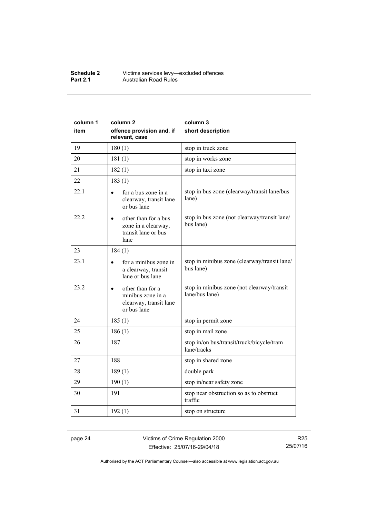#### **Schedule 2** Victims services levy—excluded offences **Part 2.1 Australian Road Rules**

| column 1 | column <sub>2</sub>                                                                         | column 3                                                     |
|----------|---------------------------------------------------------------------------------------------|--------------------------------------------------------------|
| item     | offence provision and, if<br>relevant, case                                                 | short description                                            |
| 19       | 180(1)                                                                                      | stop in truck zone                                           |
| 20       | 181(1)                                                                                      | stop in works zone                                           |
| 21       | 182(1)                                                                                      | stop in taxi zone                                            |
| 22       | 183(1)                                                                                      |                                                              |
| 22.1     | for a bus zone in a<br>$\bullet$<br>clearway, transit lane<br>or bus lane                   | stop in bus zone (clearway/transit lane/bus<br>lane)         |
| 22.2     | other than for a bus<br>zone in a clearway,<br>transit lane or bus<br>lane                  | stop in bus zone (not clearway/transit lane/<br>bus lane)    |
| 23       | 184(1)                                                                                      |                                                              |
| 23.1     | for a minibus zone in<br>a clearway, transit<br>lane or bus lane                            | stop in minibus zone (clearway/transit lane/<br>bus lane)    |
| 23.2     | other than for a<br>$\bullet$<br>minibus zone in a<br>clearway, transit lane<br>or bus lane | stop in minibus zone (not clearway/transit<br>lane/bus lane) |
| 24       | 185(1)                                                                                      | stop in permit zone                                          |
| 25       | 186(1)                                                                                      | stop in mail zone                                            |
| 26       | 187                                                                                         | stop in/on bus/transit/truck/bicycle/tram<br>lane/tracks     |
| 27       | 188                                                                                         | stop in shared zone                                          |
| 28       | 189(1)                                                                                      | double park                                                  |
| 29       | 190(1)                                                                                      | stop in/near safety zone                                     |
| 30       | 191                                                                                         | stop near obstruction so as to obstruct<br>traffic           |
| 31       | 192(1)                                                                                      | stop on structure                                            |

page 24 Victims of Crime Regulation 2000 Effective: 25/07/16-29/04/18

R25 25/07/16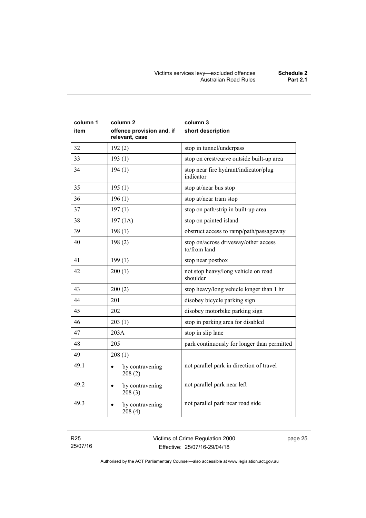| column 1<br>item | column <sub>2</sub><br>offence provision and, if<br>relevant, case | column 3<br>short description                        |
|------------------|--------------------------------------------------------------------|------------------------------------------------------|
| 32               | 192(2)                                                             | stop in tunnel/underpass                             |
| 33               | 193(1)                                                             | stop on crest/curve outside built-up area            |
| 34               | 194(1)                                                             | stop near fire hydrant/indicator/plug<br>indicator   |
| 35               | 195(1)                                                             | stop at/near bus stop                                |
| 36               | 196(1)                                                             | stop at/near tram stop                               |
| 37               | 197(1)                                                             | stop on path/strip in built-up area                  |
| 38               | 197(1A)                                                            | stop on painted island                               |
| 39               | 198(1)                                                             | obstruct access to ramp/path/passageway              |
| 40               | 198(2)                                                             | stop on/across driveway/other access<br>to/from land |
| 41               | 199(1)                                                             | stop near postbox                                    |
| 42               | 200(1)                                                             | not stop heavy/long vehicle on road<br>shoulder      |
| 43               | 200(2)                                                             | stop heavy/long vehicle longer than 1 hr             |
| 44               | 201                                                                | disobey bicycle parking sign                         |
| 45               | 202                                                                | disobey motorbike parking sign                       |
| 46               | 203(1)                                                             | stop in parking area for disabled                    |
| 47               | 203A                                                               | stop in slip lane                                    |
| 48               | 205                                                                | park continuously for longer than permitted          |
| 49               | 208(1)                                                             |                                                      |
| 49.1             | by contravening<br>208(2)                                          | not parallel park in direction of travel             |
| 49.2             | by contravening<br>208(3)                                          | not parallel park near left                          |
| 49.3             | by contravening<br>208(4)                                          | not parallel park near road side                     |

R25 25/07/16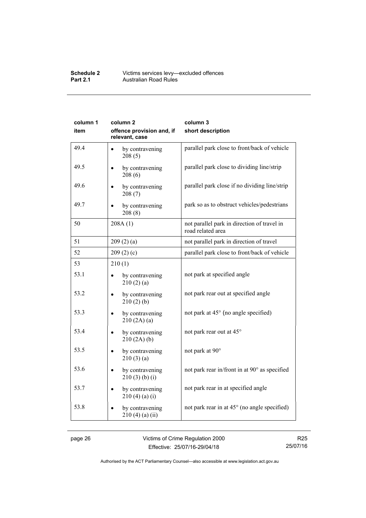#### **Schedule 2** Victims services levy—excluded offences **Part 2.1 Australian Road Rules**

| column 1<br>item | column <sub>2</sub><br>offence provision and, if | column 3<br>short description                                    |
|------------------|--------------------------------------------------|------------------------------------------------------------------|
|                  | relevant, case                                   |                                                                  |
| 49.4             | by contravening<br>$\bullet$<br>208(5)           | parallel park close to front/back of vehicle                     |
| 49.5             | by contravening<br>208(6)                        | parallel park close to dividing line/strip                       |
| 49.6             | by contravening<br>208(7)                        | parallel park close if no dividing line/strip                    |
| 49.7             | by contravening<br>208(8)                        | park so as to obstruct vehicles/pedestrians                      |
| 50               | 208A(1)                                          | not parallel park in direction of travel in<br>road related area |
| 51               | 209(2)(a)                                        | not parallel park in direction of travel                         |
| 52               | 209(2)(c)                                        | parallel park close to front/back of vehicle                     |
| 53               | 210(1)                                           |                                                                  |
| 53.1             | by contravening<br>210(2)(a)                     | not park at specified angle                                      |
| 53.2             | by contravening<br>210(2)(b)                     | not park rear out at specified angle                             |
| 53.3             | by contravening<br>210(2A)(a)                    | not park at 45° (no angle specified)                             |
| 53.4             | by contravening<br>210(2A)(b)                    | not park rear out at 45°                                         |
| 53.5             | by contravening<br>210(3)(a)                     | not park at 90°                                                  |
| 53.6             | by contravening<br>210(3)(b)(i)                  | not park rear in/front in at 90° as specified                    |
| 53.7             | by contravening<br>210(4)(a)(i)                  | not park rear in at specified angle                              |
| 53.8             | by contravening<br>$210(4)$ (a) (ii)             | not park rear in at 45° (no angle specified)                     |

page 26 Victims of Crime Regulation 2000 Effective: 25/07/16-29/04/18

R25 25/07/16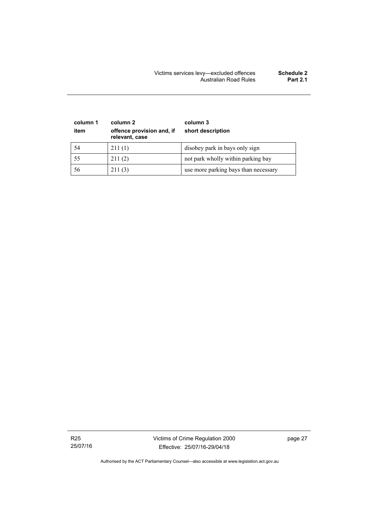| column 1<br>item | column 2<br>offence provision and, if<br>relevant, case | column 3<br>short description        |
|------------------|---------------------------------------------------------|--------------------------------------|
| 54               | 211(1)                                                  | disobey park in bays only sign       |
| 55               | 211(2)                                                  | not park wholly within parking bay   |
| 56               | 211(3)                                                  | use more parking bays than necessary |

R25 25/07/16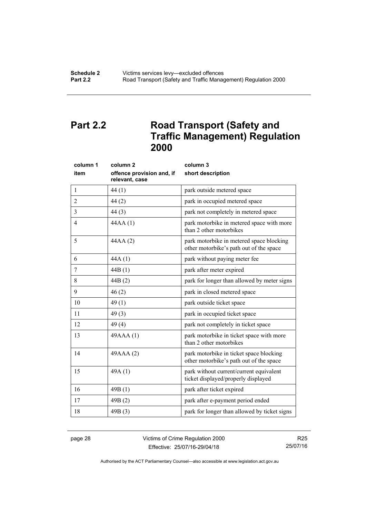## <span id="page-33-0"></span>**Part 2.2 Road Transport (Safety and Traffic Management) Regulation 2000**

| column 1 | column <sub>2</sub>                         | column 3                                                                            |
|----------|---------------------------------------------|-------------------------------------------------------------------------------------|
| item     | offence provision and, if<br>relevant, case | short description                                                                   |
| 1        | 44(1)                                       | park outside metered space                                                          |
| 2        | 44(2)                                       | park in occupied metered space                                                      |
| 3        | 44(3)                                       | park not completely in metered space                                                |
| 4        | 44AA(1)                                     | park motorbike in metered space with more<br>than 2 other motorbikes                |
| 5        | 44AA (2)                                    | park motorbike in metered space blocking<br>other motorbike's path out of the space |
| 6        | 44A(1)                                      | park without paying meter fee                                                       |
| 7        | 44B(1)                                      | park after meter expired                                                            |
| 8        | 44B(2)                                      | park for longer than allowed by meter signs                                         |
| 9        | 46(2)                                       | park in closed metered space                                                        |
| 10       | 49(1)                                       | park outside ticket space                                                           |
| 11       | 49(3)                                       | park in occupied ticket space                                                       |
| 12       | 49(4)                                       | park not completely in ticket space                                                 |
| 13       | 49AAA(1)                                    | park motorbike in ticket space with more<br>than 2 other motorbikes                 |
| 14       | 49AAA (2)                                   | park motorbike in ticket space blocking<br>other motorbike's path out of the space  |
| 15       | 49A(1)                                      | park without current/current equivalent<br>ticket displayed/properly displayed      |
| 16       | 49B(1)                                      | park after ticket expired                                                           |
| 17       | 49B(2)                                      | park after e-payment period ended                                                   |
| 18       | 49B(3)                                      | park for longer than allowed by ticket signs                                        |
|          |                                             |                                                                                     |

page 28 Victims of Crime Regulation 2000 Effective: 25/07/16-29/04/18

R25 25/07/16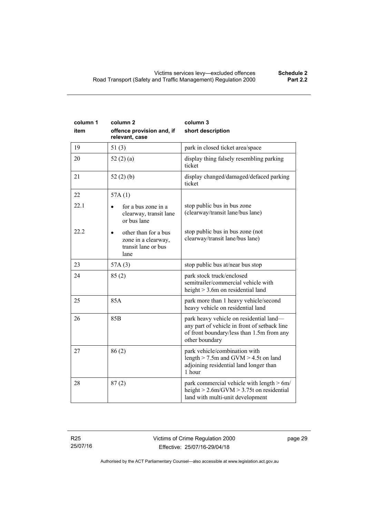| column 1<br>item | column <sub>2</sub><br>offence provision and, if<br>relevant, case         | column 3<br>short description                                                                                                                          |
|------------------|----------------------------------------------------------------------------|--------------------------------------------------------------------------------------------------------------------------------------------------------|
| 19               | 51(3)                                                                      | park in closed ticket area/space                                                                                                                       |
| 20               | 52 $(2)$ $(a)$                                                             | display thing falsely resembling parking<br>ticket                                                                                                     |
| 21               | 52 $(2)(b)$                                                                | display changed/damaged/defaced parking<br>ticket                                                                                                      |
| 22               | 57A(1)                                                                     |                                                                                                                                                        |
| 22.1             | for a bus zone in a<br>clearway, transit lane<br>or bus lane               | stop public bus in bus zone<br>(clearway/transit lane/bus lane)                                                                                        |
| 22.2             | other than for a bus<br>zone in a clearway,<br>transit lane or bus<br>lane | stop public bus in bus zone (not<br>clearway/transit lane/bus lane)                                                                                    |
| 23               | 57A(3)                                                                     | stop public bus at/near bus stop                                                                                                                       |
| 24               | 85(2)                                                                      | park stock truck/enclosed<br>semitrailer/commercial vehicle with<br>height $>$ 3.6m on residential land                                                |
| 25               | 85A                                                                        | park more than 1 heavy vehicle/second<br>heavy vehicle on residential land                                                                             |
| 26               | 85 <sub>B</sub>                                                            | park heavy vehicle on residential land-<br>any part of vehicle in front of setback line<br>of front boundary/less than 1.5m from any<br>other boundary |
| 27               | 86(2)                                                                      | park vehicle/combination with<br>length $>$ 7.5m and GVM $>$ 4.5t on land<br>adjoining residential land longer than<br>1 hour                          |
| 28               | 87(2)                                                                      | park commercial vehicle with length $> 6m/$<br>height $> 2.6$ m/GVM $> 3.75$ t on residential<br>land with multi-unit development                      |

R25 25/07/16 page 29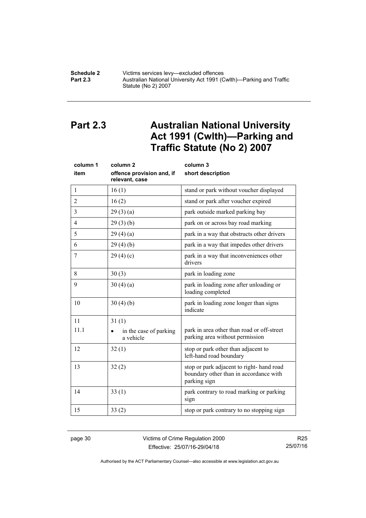#### **Schedule 2 Victims services levy—excluded offences**<br>**Part 2.3 Australian National University Act 1991 (C Part 2.3** Australian National University Act 1991 (Cwlth)—Parking and Traffic Statute (No 2) 2007

## <span id="page-35-0"></span>**Part 2.3 Australian National University Act 1991 (Cwlth)—Parking and Traffic Statute (No 2) 2007**

| column 1       | column <sub>2</sub>                         | column 3                                                                                           |
|----------------|---------------------------------------------|----------------------------------------------------------------------------------------------------|
| item           | offence provision and, if<br>relevant, case | short description                                                                                  |
| 1              | 16(1)                                       | stand or park without voucher displayed                                                            |
| $\overline{2}$ | 16(2)                                       | stand or park after voucher expired                                                                |
| 3              | 29(3)(a)                                    | park outside marked parking bay                                                                    |
| $\overline{4}$ | 29(3)(b)                                    | park on or across bay road marking                                                                 |
| 5              | 29(4)(a)                                    | park in a way that obstructs other drivers                                                         |
| 6              | 29(4)(b)                                    | park in a way that impedes other drivers                                                           |
| 7              | 29(4)(c)                                    | park in a way that inconveniences other<br>drivers                                                 |
| 8              | 30(3)                                       | park in loading zone                                                                               |
| 9              | 30(4)(a)                                    | park in loading zone after unloading or<br>loading completed                                       |
| 10             | 30(4)(b)                                    | park in loading zone longer than signs<br>indicate                                                 |
| 11             | 31(1)                                       |                                                                                                    |
| 11.1           | in the case of parking<br>a vehicle         | park in area other than road or off-street<br>parking area without permission                      |
| 12             | 32(1)                                       | stop or park other than adjacent to<br>left-hand road boundary                                     |
| 13             | 32(2)                                       | stop or park adjacent to right-hand road<br>boundary other than in accordance with<br>parking sign |
| 14             | 33(1)                                       | park contrary to road marking or parking<br>sign                                                   |
| 15             | 33(2)                                       | stop or park contrary to no stopping sign                                                          |

page 30 Victims of Crime Regulation 2000 Effective: 25/07/16-29/04/18

R25 25/07/16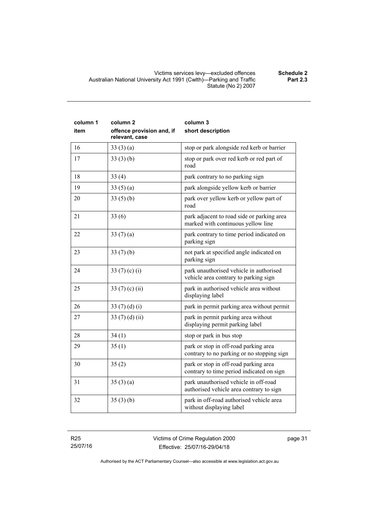| column 1<br>item | column <sub>2</sub><br>offence provision and, if<br>relevant, case | column 3<br>short description                                                       |
|------------------|--------------------------------------------------------------------|-------------------------------------------------------------------------------------|
| 16               | 33(3)(a)                                                           | stop or park alongside red kerb or barrier                                          |
| 17               | 33(3)(b)                                                           | stop or park over red kerb or red part of<br>road                                   |
| 18               | 33(4)                                                              | park contrary to no parking sign                                                    |
| 19               | 33(5)(a)                                                           | park alongside yellow kerb or barrier                                               |
| 20               | 33(5)(b)                                                           | park over yellow kerb or yellow part of<br>road                                     |
| 21               | 33(6)                                                              | park adjacent to road side or parking area<br>marked with continuous yellow line    |
| 22               | 33(7)(a)                                                           | park contrary to time period indicated on<br>parking sign                           |
| 23               | 33(7)(b)                                                           | not park at specified angle indicated on<br>parking sign                            |
| 24               | 33 $(7)$ $(c)$ $(i)$                                               | park unauthorised vehicle in authorised<br>vehicle area contrary to parking sign    |
| 25               | 33 $(7)$ $(c)$ $(ii)$                                              | park in authorised vehicle area without<br>displaying label                         |
| 26               | 33 $(7)(d)(i)$                                                     | park in permit parking area without permit                                          |
| 27               | 33 $(7)$ $(d)$ $(ii)$                                              | park in permit parking area without<br>displaying permit parking label              |
| 28               | 34(1)                                                              | stop or park in bus stop                                                            |
| 29               | 35(1)                                                              | park or stop in off-road parking area<br>contrary to no parking or no stopping sign |
| 30               | 35(2)                                                              | park or stop in off-road parking area<br>contrary to time period indicated on sign  |
| 31               | 35(3)(a)                                                           | park unauthorised vehicle in off-road<br>authorised vehicle area contrary to sign   |
| 32               | 35(3)(b)                                                           | park in off-road authorised vehicle area<br>without displaying label                |

R25 25/07/16 **Part 2.3**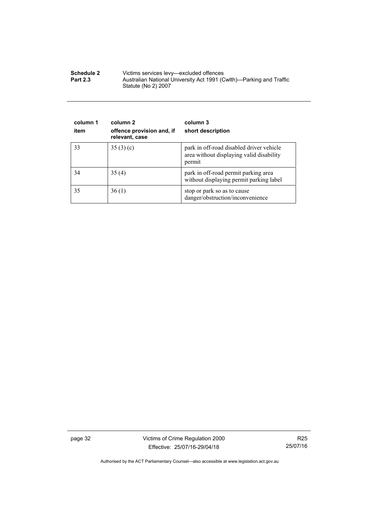| <b>Schedule 2</b> | Victims services levy—excluded offences                                                    |  |
|-------------------|--------------------------------------------------------------------------------------------|--|
| <b>Part 2.3</b>   | Australian National University Act 1991 (Cwlth)—Parking and Traffic<br>Statute (No 2) 2007 |  |

| column 1<br>item | column 2<br>offence provision and, if<br>relevant, case | column 3<br>short description                                                                  |
|------------------|---------------------------------------------------------|------------------------------------------------------------------------------------------------|
| 33               | 35(3)(c)                                                | park in off-road disabled driver vehicle<br>area without displaying valid disability<br>permit |
| 34               | 35(4)                                                   | park in off-road permit parking area<br>without displaying permit parking label                |
| 35               | 36(1)                                                   | stop or park so as to cause<br>danger/obstruction/inconvenience                                |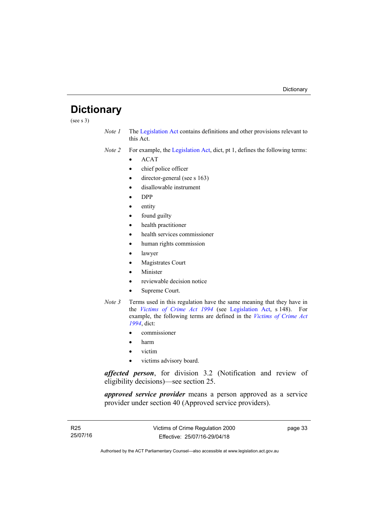## <span id="page-38-0"></span>**Dictionary**

(see s 3)

*Note 1* The [Legislation Act](http://www.legislation.act.gov.au/a/2001-14) contains definitions and other provisions relevant to this Act.

*Note 2* For example, the [Legislation Act,](http://www.legislation.act.gov.au/a/2001-14) dict, pt 1, defines the following terms:

- $\bullet$  ACAT
- chief police officer
- director-general (see s 163)
- disallowable instrument
- DPP
- entity
- found guilty
- health practitioner
- health services commissioner
- human rights commission
- lawyer
- Magistrates Court
- Minister
- reviewable decision notice
- Supreme Court.
- *Note 3* Terms used in this regulation have the same meaning that they have in the *[Victims of Crime Act 1994](http://www.legislation.act.gov.au/a/1994-83)* (see [Legislation Act,](http://www.legislation.act.gov.au/a/2001-14) s 148). For example, the following terms are defined in the *[Victims of Crime Act](http://www.legislation.act.gov.au/a/1994-83)  [1994](http://www.legislation.act.gov.au/a/1994-83)*, dict:
	- commissioner
	- harm
	- victim
	- victims advisory board.

*affected person*, for division 3.2 (Notification and review of eligibility decisions)—see section 25.

*approved service provider* means a person approved as a service provider under section 40 (Approved service providers).

page 33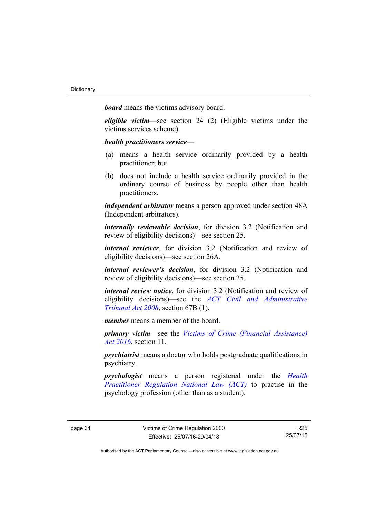*board* means the victims advisory board.

*eligible victim*—see section 24 (2) (Eligible victims under the victims services scheme).

*health practitioners service*—

- (a) means a health service ordinarily provided by a health practitioner; but
- (b) does not include a health service ordinarily provided in the ordinary course of business by people other than health practitioners.

*independent arbitrator* means a person approved under section 48A (Independent arbitrators).

*internally reviewable decision*, for division 3.2 (Notification and review of eligibility decisions)—see section 25.

*internal reviewer*, for division 3.2 (Notification and review of eligibility decisions)—see section 26A.

*internal reviewer's decision*, for division 3.2 (Notification and review of eligibility decisions)—see section 25.

*internal review notice*, for division 3.2 (Notification and review of eligibility decisions)—see the *[ACT Civil and Administrative](http://www.legislation.act.gov.au/a/2008-35)  [Tribunal Act 2008](http://www.legislation.act.gov.au/a/2008-35)*, section 67B (1).

*member* means a member of the board.

*primary victim*—see the *[Victims of Crime \(Financial Assistance\)](http://www.legislation.act.gov.au/a/2016-12/default.asp)  [Act 2016](http://www.legislation.act.gov.au/a/2016-12/default.asp)*, section 11.

*psychiatrist* means a doctor who holds postgraduate qualifications in psychiatry.

*psychologist* means a person registered under the *[Health](http://www.legislation.act.gov.au/a/db_39269/default.asp)  [Practitioner Regulation National Law \(ACT\)](http://www.legislation.act.gov.au/a/db_39269/default.asp)* to practise in the psychology profession (other than as a student).

R25 25/07/16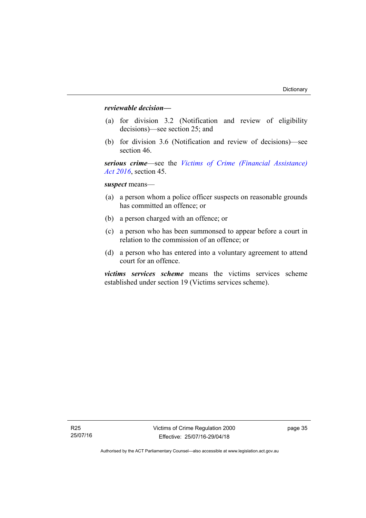### *reviewable decision—*

- (a) for division 3.2 (Notification and review of eligibility decisions)—see section 25; and
- (b) for division 3.6 (Notification and review of decisions)—see section 46.

*serious crime*—see the *[Victims of Crime \(Financial Assistance\)](http://www.legislation.act.gov.au/a/2016-12/default.asp)  [Act 2016](http://www.legislation.act.gov.au/a/2016-12/default.asp)*, section 45.

*suspect* means—

- (a) a person whom a police officer suspects on reasonable grounds has committed an offence; or
- (b) a person charged with an offence; or
- (c) a person who has been summonsed to appear before a court in relation to the commission of an offence; or
- (d) a person who has entered into a voluntary agreement to attend court for an offence.

*victims services scheme* means the victims services scheme established under section 19 (Victims services scheme).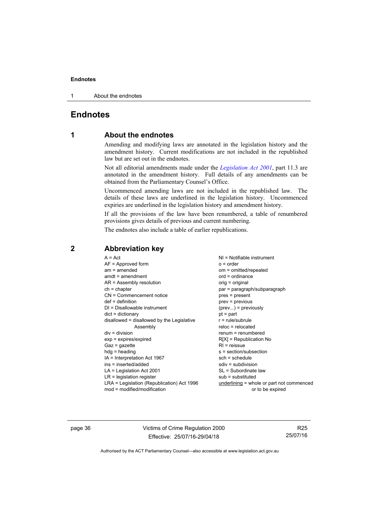1 About the endnotes

## <span id="page-41-0"></span>**Endnotes**

## **1 About the endnotes**

Amending and modifying laws are annotated in the legislation history and the amendment history. Current modifications are not included in the republished law but are set out in the endnotes.

Not all editorial amendments made under the *[Legislation Act 2001](http://www.legislation.act.gov.au/a/2001-14)*, part 11.3 are annotated in the amendment history. Full details of any amendments can be obtained from the Parliamentary Counsel's Office.

Uncommenced amending laws are not included in the republished law. The details of these laws are underlined in the legislation history. Uncommenced expiries are underlined in the legislation history and amendment history.

If all the provisions of the law have been renumbered, a table of renumbered provisions gives details of previous and current numbering.

The endnotes also include a table of earlier republications.

| $NI = Notifiable$ instrument<br>$o = order$<br>om = omitted/repealed<br>$ord = ordinance$<br>orig = original<br>par = paragraph/subparagraph<br>pres = present<br>$prev = previous$<br>$(\text{prev})$ = previously<br>$pt = part$<br>$r = rule/subrule$<br>$reloc = relocated$<br>$renum = renumbered$<br>$R[X]$ = Republication No<br>$R1$ = reissue<br>s = section/subsection<br>$sch = schedule$<br>$sdiv = subdivision$ |
|------------------------------------------------------------------------------------------------------------------------------------------------------------------------------------------------------------------------------------------------------------------------------------------------------------------------------------------------------------------------------------------------------------------------------|
|                                                                                                                                                                                                                                                                                                                                                                                                                              |
| SL = Subordinate law<br>$sub =$ substituted<br>underlining = whole or part not commenced<br>or to be expired                                                                                                                                                                                                                                                                                                                 |
|                                                                                                                                                                                                                                                                                                                                                                                                                              |

## <span id="page-41-2"></span>**2 Abbreviation key**

page 36 Victims of Crime Regulation 2000 Effective: 25/07/16-29/04/18

R25 25/07/16

<span id="page-41-1"></span>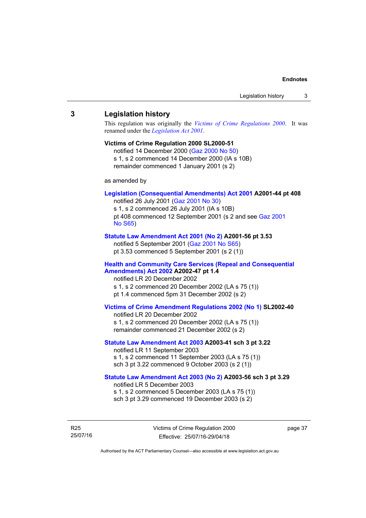### <span id="page-42-0"></span>**3 Legislation history**

This regulation was originally the *[Victims of Crime Regulations 2000](http://www.legislation.act.gov.au/sl/2000-51)*. It was renamed under the *[Legislation Act 2001](http://www.legislation.act.gov.au/a/2001-14)*.

#### **Victims of Crime Regulation 2000 SL2000-51**

notified 14 December 2000 [\(Gaz 2000 No 50](http://www.legislation.act.gov.au/gaz/2000-50/default.asp)) s 1, s 2 commenced 14 December 2000 (IA s 10B) remainder commenced 1 January 2001 (s 2)

as amended by

#### **[Legislation \(Consequential Amendments\) Act 2001](http://www.legislation.act.gov.au/a/2001-44) A2001-44 pt 408**

notified 26 July 2001 ([Gaz 2001 No 30\)](http://www.legislation.act.gov.au/gaz/2001-30/default.asp) s 1, s 2 commenced 26 July 2001 (IA s 10B) pt 408 commenced 12 September 2001 (s 2 and see [Gaz 2001](http://www.legislation.act.gov.au/gaz/2001-S65/default.asp)  [No S65](http://www.legislation.act.gov.au/gaz/2001-S65/default.asp))

#### **[Statute Law Amendment Act 2001 \(No 2\)](http://www.legislation.act.gov.au/a/2001-56) A2001-56 pt 3.53**

notified 5 September 2001 [\(Gaz 2001 No S65\)](http://www.legislation.act.gov.au/gaz/2001-S65/default.asp) pt 3.53 commenced 5 September 2001 (s 2 (1))

#### **[Health and Community Care Services \(Repeal and Consequential](http://www.legislation.act.gov.au/a/2002-47)  [Amendments\) Act 2002](http://www.legislation.act.gov.au/a/2002-47) A2002-47 pt 1.4**

notified LR 20 December 2002 s 1, s 2 commenced 20 December 2002 (LA s 75 (1)) pt 1.4 commenced 5pm 31 December 2002 (s 2)

#### **[Victims of Crime Amendment Regulations 2002 \(No 1\)](http://www.legislation.act.gov.au/sl/2002-40) SL2002-40**

notified LR 20 December 2002 s 1, s 2 commenced 20 December 2002 (LA s 75 (1)) remainder commenced 21 December 2002 (s 2)

#### **[Statute Law Amendment Act 2003](http://www.legislation.act.gov.au/a/2003-41) A2003-41 sch 3 pt 3.22**

notified LR 11 September 2003 s 1, s 2 commenced 11 September 2003 (LA s 75 (1)) sch 3 pt 3.22 commenced 9 October 2003 (s 2 (1))

#### **[Statute Law Amendment Act 2003 \(No 2\)](http://www.legislation.act.gov.au/a/2003-56) A2003-56 sch 3 pt 3.29**  notified LR 5 December 2003 s 1, s 2 commenced 5 December 2003 (LA s 75 (1))

sch 3 pt 3.29 commenced 19 December 2003 (s 2)

R25 25/07/16 Victims of Crime Regulation 2000 Effective: 25/07/16-29/04/18

page 37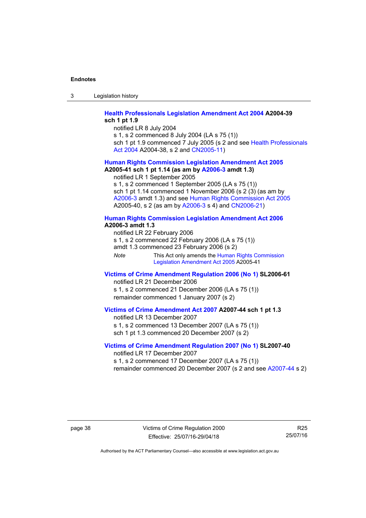3 Legislation history

#### **[Health Professionals Legislation Amendment Act 2004](http://www.legislation.act.gov.au/a/2004-39) A2004-39 sch 1 pt 1.9**

notified LR 8 July 2004

s 1, s 2 commenced 8 July 2004 (LA s 75 (1))

sch 1 pt 1.9 commenced 7 July 2005 (s 2 and see Health Professionals [Act 2004](http://www.legislation.act.gov.au/a/2004-38) A2004-38, s 2 and [CN2005-11\)](http://www.legislation.act.gov.au/cn/2005-11/default.asp)

#### **[Human Rights Commission Legislation Amendment Act 2005](http://www.legislation.act.gov.au/a/2005-41) A2005-41 sch 1 pt 1.14 (as am by [A2006-3](http://www.legislation.act.gov.au/a/2006-3) amdt 1.3)**

notified LR 1 September 2005

s 1, s 2 commenced 1 September 2005 (LA s 75 (1)) sch 1 pt 1.14 commenced 1 November 2006 (s 2 (3) (as am by [A2006-3](http://www.legislation.act.gov.au/a/2006-3) amdt 1.3) and see [Human Rights Commission Act 2005](http://www.legislation.act.gov.au/a/2005-40) A2005-40, s 2 (as am by [A2006-3](http://www.legislation.act.gov.au/a/2006-3) s 4) and [CN2006-21](http://www.legislation.act.gov.au/cn/2006-21/default.asp))

#### **[Human Rights Commission Legislation Amendment Act 2006](http://www.legislation.act.gov.au/a/2006-3) A2006-3 amdt 1.3**

notified LR 22 February 2006 s 1, s 2 commenced 22 February 2006 (LA s 75 (1)) amdt 1.3 commenced 23 February 2006 (s 2) *Note* This Act only amends the Human Rights Commission [Legislation Amendment Act 2005](http://www.legislation.act.gov.au/a/2005-41) A2005-41

#### **[Victims of Crime Amendment Regulation 2006 \(No 1\)](http://www.legislation.act.gov.au/sl/2006-61) SL2006-61**

notified LR 21 December 2006 s 1, s 2 commenced 21 December 2006 (LA s 75 (1)) remainder commenced 1 January 2007 (s 2)

### **[Victims of Crime Amendment Act 2007](http://www.legislation.act.gov.au/a/2007-44) A2007-44 sch 1 pt 1.3**

notified LR 13 December 2007 s 1, s 2 commenced 13 December 2007 (LA s 75 (1)) sch 1 pt 1.3 commenced 20 December 2007 (s 2)

#### **[Victims of Crime Amendment Regulation 2007 \(No 1\)](http://www.legislation.act.gov.au/sl/2007-40) SL2007-40**  notified LR 17 December 2007

s 1, s 2 commenced 17 December 2007 (LA s 75 (1)) remainder commenced 20 December 2007 (s 2 and see [A2007-44](http://www.legislation.act.gov.au/a/2007-44) s 2)

page 38 Victims of Crime Regulation 2000 Effective: 25/07/16-29/04/18

R25 25/07/16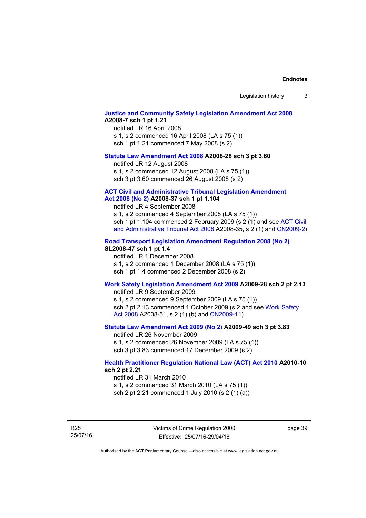Legislation history 3

#### **[Justice and Community Safety Legislation Amendment Act 2008](http://www.legislation.act.gov.au/a/2008-7) A2008-7 sch 1 pt 1.21**

notified LR 16 April 2008 s 1, s 2 commenced 16 April 2008 (LA s 75 (1)) sch 1 pt 1.21 commenced 7 May 2008 (s 2)

#### **[Statute Law Amendment Act 2008](http://www.legislation.act.gov.au/a/2008-28) A2008-28 sch 3 pt 3.60**

notified LR 12 August 2008 s 1, s 2 commenced 12 August 2008 (LA s 75 (1)) sch 3 pt 3.60 commenced 26 August 2008 (s 2)

#### **[ACT Civil and Administrative Tribunal Legislation Amendment](http://www.legislation.act.gov.au/a/2008-37)**

### **[Act 2008 \(No 2\)](http://www.legislation.act.gov.au/a/2008-37) A2008-37 sch 1 pt 1.104**

notified LR 4 September 2008

s 1, s 2 commenced 4 September 2008 (LA s 75 (1)) sch 1 pt 1.104 commenced 2 February 2009 (s 2 (1) and see [ACT Civil](http://www.legislation.act.gov.au/a/2008-35)  [and Administrative Tribunal Act 2008](http://www.legislation.act.gov.au/a/2008-35) A2008-35, s 2 (1) and [CN2009-2](http://www.legislation.act.gov.au/cn/2009-2/default.asp))

#### **[Road Transport Legislation Amendment Regulation 2008 \(No 2\)](http://www.legislation.act.gov.au/sl/2008-47)**

#### **SL2008-47 sch 1 pt 1.4**

notified LR 1 December 2008 s 1, s 2 commenced 1 December 2008 (LA s 75 (1)) sch 1 pt 1.4 commenced 2 December 2008 (s 2)

#### **[Work Safety Legislation Amendment Act 2009](http://www.legislation.act.gov.au/a/2009-28) A2009-28 sch 2 pt 2.13**

notified LR 9 September 2009

s 1, s 2 commenced 9 September 2009 (LA s 75 (1)) sch 2 pt 2.13 commenced 1 October 2009 (s 2 and see Work Safety [Act 2008](http://www.legislation.act.gov.au/a/2008-51) A2008-51, s 2 (1) (b) and [CN2009-11\)](http://www.legislation.act.gov.au/cn/2009-11/default.asp)

#### **[Statute Law Amendment Act 2009 \(No 2\)](http://www.legislation.act.gov.au/a/2009-49) A2009-49 sch 3 pt 3.83**

notified LR 26 November 2009 s 1, s 2 commenced 26 November 2009 (LA s 75 (1)) sch 3 pt 3.83 commenced 17 December 2009 (s 2)

#### **[Health Practitioner Regulation National Law \(ACT\) Act 2010](http://www.legislation.act.gov.au/a/2010-10) A2010-10 sch 2 pt 2.21**

notified LR 31 March 2010 s 1, s 2 commenced 31 March 2010 (LA s 75 (1))

sch 2 pt 2.21 commenced 1 July 2010 (s 2 (1) (a))

R25 25/07/16 page 39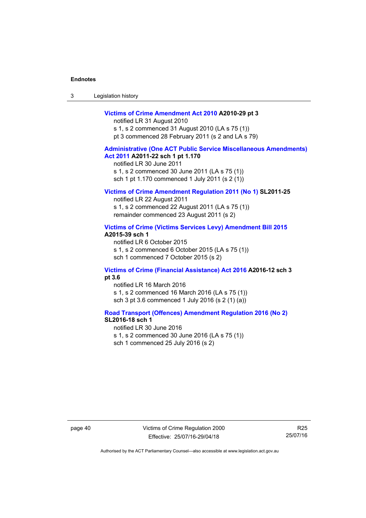| Legislation history<br>-3 |  |
|---------------------------|--|
|---------------------------|--|

#### **[Victims of Crime Amendment Act 2010](http://www.legislation.act.gov.au/a/2010-29) A2010-29 pt 3**

notified LR 31 August 2010 s 1, s 2 commenced 31 August 2010 (LA s 75 (1)) pt 3 commenced 28 February 2011 (s 2 and LA s 79)

#### **[Administrative \(One ACT Public Service Miscellaneous Amendments\)](http://www.legislation.act.gov.au/a/2011-22)  [Act 2011](http://www.legislation.act.gov.au/a/2011-22) A2011-22 sch 1 pt 1.170**

notified LR 30 June 2011 s 1, s 2 commenced 30 June 2011 (LA s 75 (1)) sch 1 pt 1.170 commenced 1 July 2011 (s 2 (1))

#### **[Victims of Crime Amendment Regulation 2011 \(No 1\)](http://www.legislation.act.gov.au/sl/2011-25) SL2011-25**

notified LR 22 August 2011 s 1, s 2 commenced 22 August 2011 (LA s 75 (1)) remainder commenced 23 August 2011 (s 2)

#### **[Victims of Crime \(Victims Services Levy\) Amendment Bill 2015](http://www.legislation.act.gov.au/a/2015-39) A2015-39 sch 1**

notified LR 6 October 2015 s 1, s 2 commenced 6 October 2015 (LA s 75 (1)) sch 1 commenced 7 October 2015 (s 2)

#### **[Victims of Crime \(Financial Assistance\) Act 2016](http://www.legislation.act.gov.au/a/2016-12/default.asp) A2016-12 sch 3 pt 3.6**

notified LR 16 March 2016 s 1, s 2 commenced 16 March 2016 (LA s 75 (1)) sch 3 pt 3.6 commenced 1 July 2016 (s 2 (1) (a))

#### **[Road Transport \(Offences\) Amendment Regulation 2016 \(No 2\)](http://www.legislation.act.gov.au/sl/2016-18) SL2016-18 sch 1**

notified LR 30 June 2016 s 1, s 2 commenced 30 June 2016 (LA s 75 (1)) sch 1 commenced 25 July 2016 (s 2)

page 40 Victims of Crime Regulation 2000 Effective: 25/07/16-29/04/18

R25 25/07/16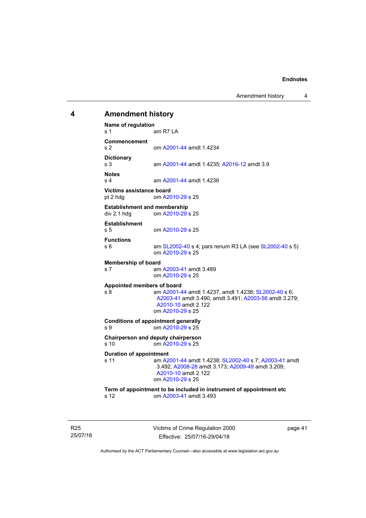Amendment history 4

## <span id="page-46-0"></span>Victims of Crime Regulation 2000 **4 Amendment history Name of regulation**  s 1 am R7 LA **Commencement**  s 2 om [A2001-44](http://www.legislation.act.gov.au/a/2001-44) amdt 1.4234 **Dictionary**  s 3 am [A2001-44](http://www.legislation.act.gov.au/a/2001-44) amdt 1.4235; [A2016-12](http://www.legislation.act.gov.au/a/2016-12/default.asp) amdt 3.9 **Notes**  s 4 am [A2001-44](http://www.legislation.act.gov.au/a/2001-44) amdt 1.4236 **Victims assistance board**  pt 2 hdg om [A2010-29](http://www.legislation.act.gov.au/a/2010-29) s 25 **Establishment and membership**  div 2.1 hdg om [A2010-29](http://www.legislation.act.gov.au/a/2010-29) s 25 **Establishment**  s 5 om [A2010-29](http://www.legislation.act.gov.au/a/2010-29) s 25 **Functions**  s 6 am [SL2002-40](http://www.legislation.act.gov.au/sl/2002-40) s 4; pars renum R3 LA (see [SL2002-40](http://www.legislation.act.gov.au/sl/2002-40) s 5) om [A2010-29](http://www.legislation.act.gov.au/a/2010-29) s 25 **Membership of board**  s 7 am [A2003-41](http://www.legislation.act.gov.au/a/2003-41) amdt 3.489 om [A2010-29](http://www.legislation.act.gov.au/a/2010-29) s 25 **Appointed members of board**  s 8 am [A2001-44](http://www.legislation.act.gov.au/a/2001-44) amdt 1.4237, amdt 1.4238; [SL2002-40](http://www.legislation.act.gov.au/sl/2002-40) s 6; [A2003-41](http://www.legislation.act.gov.au/a/2003-41) amdt 3.490, amdt 3.491; [A2003-56](http://www.legislation.act.gov.au/a/2003-56) amdt 3.279; [A2010-10](http://www.legislation.act.gov.au/a/2010-10) amdt 2.122 om [A2010-29](http://www.legislation.act.gov.au/a/2010-29) s 25 **Conditions of appointment generally**  s 9 om [A2010-29](http://www.legislation.act.gov.au/a/2010-29) s 25 **Chairperson and deputy chairperson**  s 10 om [A2010-29](http://www.legislation.act.gov.au/a/2010-29) s 25 **Duration of appointment**  s 11 am [A2001-44](http://www.legislation.act.gov.au/a/2001-44) amdt 1.4238; [SL2002-40](http://www.legislation.act.gov.au/sl/2002-40) s 7; [A2003-41](http://www.legislation.act.gov.au/a/2003-41) amdt 3.492; [A2008-28](http://www.legislation.act.gov.au/a/2008-28) amdt 3.173; [A2009-49](http://www.legislation.act.gov.au/a/2009-49) amdt 3.209; [A2010-10](http://www.legislation.act.gov.au/a/2010-10) amdt 2.122 om [A2010-29](http://www.legislation.act.gov.au/a/2010-29) s 25 **Term of appointment to be included in instrument of appointment etc**  s 12 om [A2003-41](http://www.legislation.act.gov.au/a/2003-41) amdt 3.493

page 41

Authorised by the ACT Parliamentary Counsel—also accessible at www.legislation.act.gov.au

Effective: 25/07/16-29/04/18

R25 25/07/16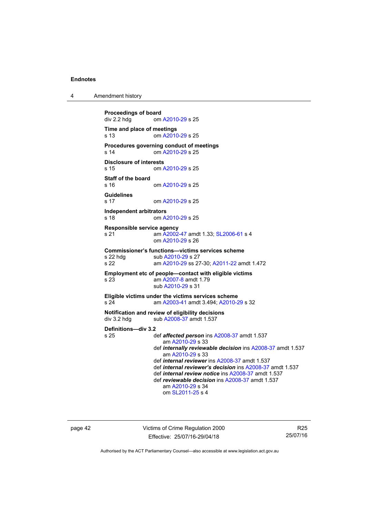4 Amendment history

```
Proceedings of board<br>div 2.2 hdg om
                A2010-29 s 25
Time and place of meetings 
s 13 om A2010-29 s 25 
Procedures governing conduct of meetings 
s 14 om A2010-29 s 25 
Disclosure of interests 
s 15 om A2010-29 s 25 
Staff of the board 
                A2010-29 s 25
Guidelines 
s 17 om A2010-29 s 25 
Independent arbitrators 
s 18 om A2010-29 s 25 
Responsible service agency 
s 21 am A2002-47 amdt 1.33; SL2006-61 s 4 
                 om A2010-29 s 26 
Commissioner's functions—victims services scheme 
A2010-29 s 27
s 22 am A2010-29 ss 27-30; A2011-22 amdt 1.472 
Employment etc of people—contact with eligible victims 
s 23 am A2007-8 amdt 1.79 
                 sub A2010-29 s 31 
Eligible victims under the victims services scheme 
s 24 am A2003-41 amdt 3.494; A2010-29 s 32 
Notification and review of eligibility decisions 
A2008-37 amdt 1.537
Definitions—div 3.2 
s 25 def affected person ins A2008-37 amdt 1.537 
                    am A2010-29 s 33 
                 def internally reviewable decision ins A2008-37 amdt 1.537 
                    am A2010-29 s 33 
                 def internal reviewer ins A2008-37 amdt 1.537 
                 def internal reviewer's decision ins A2008-37 amdt 1.537 
                 def internal review notice ins A2008-37 amdt 1.537 
                 def reviewable decision ins A2008-37 amdt 1.537 
                    am A2010-29 s 34 
                    om SL2011-25 s 4
```
page 42 Victims of Crime Regulation 2000 Effective: 25/07/16-29/04/18

R25 25/07/16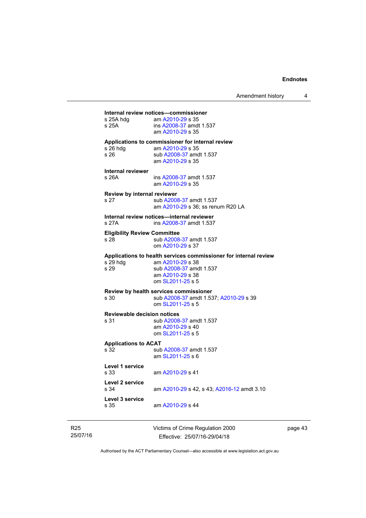|                                     | Internal review notices-commissioner                             |
|-------------------------------------|------------------------------------------------------------------|
| s 25A hdq                           | am A2010-29 s 35                                                 |
| s 25A                               | ins A2008-37 amdt 1.537                                          |
|                                     | am A2010-29 s 35                                                 |
|                                     | Applications to commissioner for internal review                 |
| s 26 hdg                            | am A2010-29 s 35                                                 |
| s 26                                | sub A2008-37 amdt 1.537                                          |
|                                     | am A2010-29 s 35                                                 |
| Internal reviewer                   |                                                                  |
| s 26A                               | ins A2008-37 amdt 1.537                                          |
|                                     | am A2010-29 s 35                                                 |
| Review by internal reviewer         |                                                                  |
| s 27                                | sub A2008-37 amdt 1.537                                          |
|                                     | am A2010-29 s 36; ss renum R20 LA                                |
|                                     | Internal review notices—internal reviewer                        |
| s 27A                               | ins A2008-37 amdt 1.537                                          |
|                                     |                                                                  |
| <b>Eligibility Review Committee</b> |                                                                  |
| s 28                                | sub A2008-37 amdt 1.537                                          |
|                                     | om A2010-29 s 37                                                 |
|                                     | Applications to health services commissioner for internal review |
| s 29 hdg                            | am A2010-29 s 38                                                 |
|                                     |                                                                  |
| s 29                                | sub A2008-37 amdt 1.537                                          |
|                                     | am A2010-29 s 38                                                 |
|                                     | om SL2011-25 s 5                                                 |
|                                     | Review by health services commissioner                           |
| s 30                                | sub A2008-37 amdt 1.537; A2010-29 s 39                           |
|                                     | om SL2011-25 s 5                                                 |
| <b>Reviewable decision notices</b>  |                                                                  |
| s 31                                | sub A2008-37 amdt 1.537                                          |
|                                     | am A2010-29 s 40                                                 |
|                                     | om SL2011-25 s 5                                                 |
| <b>Applications to ACAT</b>         |                                                                  |
| s 32                                | sub A2008-37 amdt 1.537                                          |
|                                     | am SL2011-25 s 6                                                 |
|                                     |                                                                  |
| Level 1 service<br>s 33             | am A2010-29 s 41                                                 |
|                                     |                                                                  |
| Level 2 service                     |                                                                  |
| s 34                                | am A2010-29 s 42, s 43; A2016-12 amdt 3.10                       |
| Level 3 service                     |                                                                  |
| s 35                                | am A2010-29 s 44                                                 |

R25 25/07/16 Victims of Crime Regulation 2000 Effective: 25/07/16-29/04/18

page 43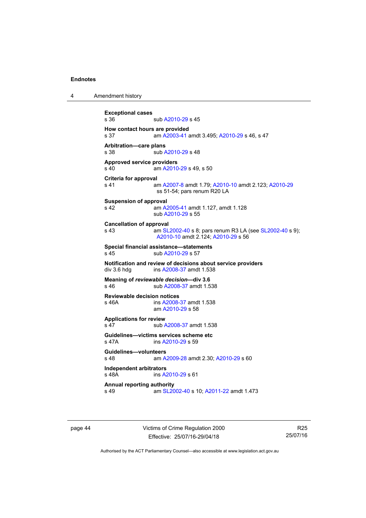4 Amendment history

**Exceptional cases**  sub [A2010-29](http://www.legislation.act.gov.au/a/2010-29) s 45 **How contact hours are provided**  s 37 am [A2003-41](http://www.legislation.act.gov.au/a/2003-41) amdt 3.495; [A2010-29](http://www.legislation.act.gov.au/a/2010-29) s 46, s 47 **Arbitration—care plans**  s 38 sub [A2010-29](http://www.legislation.act.gov.au/a/2010-29) s 48 **Approved service providers**  s 40 **am [A2010-29](http://www.legislation.act.gov.au/a/2010-29) s 49, s 50 Criteria for approval**  s 41 am [A2007-8](http://www.legislation.act.gov.au/a/2007-8) amdt 1.79; [A2010-10](http://www.legislation.act.gov.au/a/2010-10) amdt 2.123; [A2010-29](http://www.legislation.act.gov.au/a/2010-29) ss 51-54; pars renum R20 LA **Suspension of approval**  s 42 am [A2005-41](http://www.legislation.act.gov.au/a/2005-41) amdt 1.127, amdt 1.128 sub [A2010-29](http://www.legislation.act.gov.au/a/2010-29) s 55 **Cancellation of approval**  s 43 **am [SL2002-40](http://www.legislation.act.gov.au/sl/2002-40) s 8; pars renum R3 LA (see SL2002-40 s 9);** [A2010-10](http://www.legislation.act.gov.au/a/2010-10) amdt 2.124; [A2010-29](http://www.legislation.act.gov.au/a/2010-29) s 56 **Special financial assistance—statements**  s 45 sub [A2010-29](http://www.legislation.act.gov.au/a/2010-29) s 57 **Notification and review of decisions about service providers**  div 3.6 hdg ins [A2008-37](http://www.legislation.act.gov.au/a/2008-37) amdt 1.538 **Meaning of** *reviewable decision—***div 3.6**  s 46 sub [A2008-37](http://www.legislation.act.gov.au/a/2008-37) amdt 1.538 **Reviewable decision notices**  s 46A ins [A2008-37](http://www.legislation.act.gov.au/a/2008-37) amdt 1.538 am [A2010-29](http://www.legislation.act.gov.au/a/2010-29) s 58 **Applications for review**  s 47 sub [A2008-37](http://www.legislation.act.gov.au/a/2008-37) amdt 1.538 **Guidelines—victims services scheme etc**  s 47A ins [A2010-29](http://www.legislation.act.gov.au/a/2010-29) s 59 **Guidelines—volunteers**  s 48 am [A2009-28](http://www.legislation.act.gov.au/a/2009-28) amdt 2.30; [A2010-29](http://www.legislation.act.gov.au/a/2010-29) s 60 **Independent arbitrators**  s 48A ins [A2010-29](http://www.legislation.act.gov.au/a/2010-29) s 61 **Annual reporting authority**  s 49 am [SL2002-40](http://www.legislation.act.gov.au/sl/2002-40) s 10; [A2011-22](http://www.legislation.act.gov.au/a/2011-22) amdt 1.473

page 44 Victims of Crime Regulation 2000 Effective: 25/07/16-29/04/18

R25 25/07/16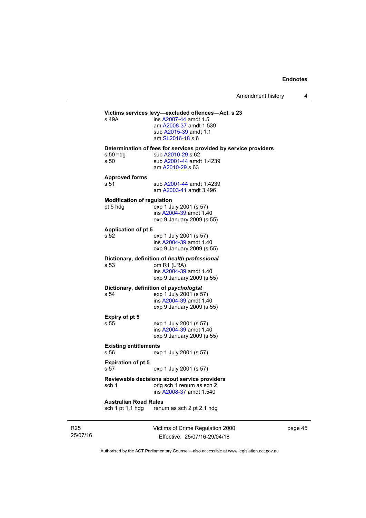Amendment history 4

#### **Victims services levy—excluded offences—Act, s 23** s 49A **ins A2007-44** amdt 1.5 ins [A2007-44](http://www.legislation.act.gov.au/a/2007-44) amdt 1.5 am [A2008-37](http://www.legislation.act.gov.au/a/2008-37) amdt 1.539

 sub [A2015-39](http://www.legislation.act.gov.au/a/2015-39) amdt 1.1 am [SL2016-18](http://www.legislation.act.gov.au/sl/2016-18) s 6

**Determination of fees for services provided by service providers**  sub [A2010-29](http://www.legislation.act.gov.au/a/2010-29) s 62

| , oo nug | ่วนม <del>A</del> |
|----------|-------------------|
| : 50     | sub A             |
|          | am A2             |

s 50 sub [A2001-44](http://www.legislation.act.gov.au/a/2001-44) amdt 1.4239 2010-29 s 63

**Approved forms** 

s 51 sub [A2001-44](http://www.legislation.act.gov.au/a/2001-44) amdt 1.4239

am [A2003-41](http://www.legislation.act.gov.au/a/2003-41) amdt 3.496

#### **Modification of regulation**

pt 5 hdg exp 1 July 2001 (s 57) ins [A2004-39](http://www.legislation.act.gov.au/a/2004-39) amdt 1.40 exp 9 January 2009 (s 55)

#### **Application of pt 5**

s 52 exp 1 July 2001 (s 57) ins [A2004-39](http://www.legislation.act.gov.au/a/2004-39) amdt 1.40 exp 9 January 2009 (s 55)

#### **Dictionary, definition of** *health professional*

s 53 om R1 (LRA) ins [A2004-39](http://www.legislation.act.gov.au/a/2004-39) amdt 1.40 exp 9 January 2009 (s 55)

## **Dictionary, definition of** *psychologist*<br>s 54 exp 1 July 2001 (s 5

exp 1 July 2001 (s 57) ins [A2004-39](http://www.legislation.act.gov.au/a/2004-39) amdt 1.40 exp 9 January 2009 (s 55)

### **Expiry of pt 5**

s 55 exp 1 July 2001 (s 57) ins [A2004-39](http://www.legislation.act.gov.au/a/2004-39) amdt 1.40 exp 9 January 2009 (s 55)

### **Existing entitlements**

s 56 exp 1 July 2001 (s 57)

#### **Expiration of pt 5**

s 57 exp 1 July 2001 (s 57)

#### **Reviewable decisions about service providers**  sch 1 orig sch 1 renum as sch 2

ins [A2008-37](http://www.legislation.act.gov.au/a/2008-37) amdt 1.540

## **Australian Road Rules**

renum as sch 2 pt 2.1 hdg

R25 25/07/16 Victims of Crime Regulation 2000 Effective: 25/07/16-29/04/18

page 45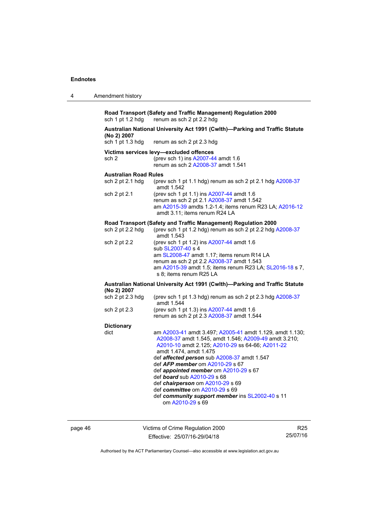| Amendment history |
|-------------------|

**Road Transport (Safety and Traffic Management) Regulation 2000**  renum as sch 2 pt 2.2 hdg

## **Australian National University Act 1991 (Cwlth)—Parking and Traffic Statute (No 2) 2007**

renum as sch 2 pt 2.3 hdg

### **Victims services levy—excluded offences**

sch 2 (prev sch 1) ins [A2007-44](http://www.legislation.act.gov.au/a/2007-44) amdt 1.6 renum as sch 2 [A2008-37](http://www.legislation.act.gov.au/a/2008-37) amdt 1.541

#### **Australian Road Rules**

| sch $2$ pt $2.1$ hdg | (prev sch 1 pt 1.1 hdg) renum as sch 2 pt 2.1 hdg $A2008-37$<br>amdt 1.542                                                                                                         |
|----------------------|------------------------------------------------------------------------------------------------------------------------------------------------------------------------------------|
| sch 2 pt 2.1         | (prev sch 1 pt 1.1) ins A2007-44 amdt 1.6<br>renum as sch 2 pt 2.1 A2008-37 amdt 1.542<br>am A2015-39 amdts 1.2-1.4; items renum R23 LA; A2016-12<br>amdt 3.11: items renum R24 LA |

#### **Road Transport (Safety and Traffic Management) Regulation 2000**

| sch 2 pt 2.2 hdg | (prev sch 1 pt 1.2 hdg) renum as sch 2 pt 2.2 hdg $A2008-37$<br>amdt 1.543                                                                                                                                                                       |
|------------------|--------------------------------------------------------------------------------------------------------------------------------------------------------------------------------------------------------------------------------------------------|
| sch 2 pt 2.2     | (prev sch 1 pt 1.2) ins A2007-44 amdt 1.6<br>sub SL2007-40 s 4<br>am SL2008-47 amdt 1.17: items renum R14 LA<br>renum as sch 2 pt 2.2 A2008-37 amdt 1.543<br>am A2015-39 amdt 1.5; items renum R23 LA; SL2016-18 s 7,<br>s 8; items renum R25 LA |
|                  |                                                                                                                                                                                                                                                  |

#### **Australian National University Act 1991 (Cwlth)—Parking and Traffic Statute (No 2) 2007**

| sch 2 pt 2.3 hdq | (prev sch 1 pt 1.3 hdg) renum as sch 2 pt 2.3 hdg A2008-37 |
|------------------|------------------------------------------------------------|
| sch 2 pt 2.3     | amdt 1.544<br>(prev sch 1 pt 1.3) ins A2007-44 amdt 1.6    |
|                  | renum as sch 2 pt 2.3 A2008-37 amdt 1.544                  |

## **Dictionary**

| dict | am A2003-41 amdt 3.497; A2005-41 amdt 1.129, amdt 1.130;<br>A2008-37 amdt 1.545, amdt 1.546; A2009-49 amdt 3.210;<br>A2010-10 amdt 2.125; A2010-29 ss 64-66; A2011-22<br>amdt 1.474, amdt 1.475<br>def affected person sub A2008-37 amdt 1.547<br>def <b>AFP</b> member om A2010-29 s 67<br>def appointed member om A2010-29 s 67<br>def <b>board</b> sub A2010-29 s 68<br>def chairperson om A2010-29 s 69<br>def committee om A2010-29 s 69<br>def community support member ins SL2002-40 s 11 |
|------|--------------------------------------------------------------------------------------------------------------------------------------------------------------------------------------------------------------------------------------------------------------------------------------------------------------------------------------------------------------------------------------------------------------------------------------------------------------------------------------------------|
|      | om A2010-29 s 69                                                                                                                                                                                                                                                                                                                                                                                                                                                                                 |
|      |                                                                                                                                                                                                                                                                                                                                                                                                                                                                                                  |

page 46 Victims of Crime Regulation 2000 Effective: 25/07/16-29/04/18

R25 25/07/16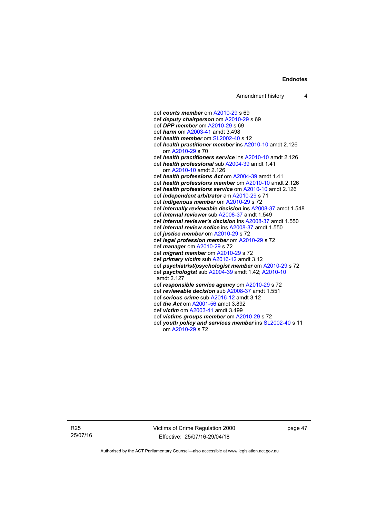def *courts member* om [A2010-29](http://www.legislation.act.gov.au/a/2010-29) s 69 def *deputy chairperson* om [A2010-29](http://www.legislation.act.gov.au/a/2010-29) s 69 def *DPP member* om [A2010-29](http://www.legislation.act.gov.au/a/2010-29) s 69 def *harm* om [A2003-41](http://www.legislation.act.gov.au/a/2003-41) amdt 3.498 def *health member* om [SL2002-40](http://www.legislation.act.gov.au/sl/2002-40) s 12 def *health practitioner member* ins [A2010-10](http://www.legislation.act.gov.au/a/2010-10) amdt 2.126 om [A2010-29](http://www.legislation.act.gov.au/a/2010-29) s 70 def *health practitioners service* ins [A2010-10](http://www.legislation.act.gov.au/a/2010-10) amdt 2.126 def *health professional* sub [A2004-39](http://www.legislation.act.gov.au/a/2004-39) amdt 1.41 om [A2010-10](http://www.legislation.act.gov.au/a/2010-10) amdt 2.126 def *health professions Act* om [A2004-39](http://www.legislation.act.gov.au/a/2004-39) amdt 1.41 def *health professions member* om [A2010-10](http://www.legislation.act.gov.au/a/2010-10) amdt 2.126 def *health professions service* om [A2010-10](http://www.legislation.act.gov.au/a/2010-10) amdt 2.126 def *independent arbitrator* am [A2010-29](http://www.legislation.act.gov.au/a/2010-29) s 71 def *indigenous member* om [A2010-29](http://www.legislation.act.gov.au/a/2010-29) s 72 def *internally reviewable decision* ins [A2008-37](http://www.legislation.act.gov.au/a/2008-37) amdt 1.548 def *internal reviewer* sub [A2008-37](http://www.legislation.act.gov.au/a/2008-37) amdt 1.549 def *internal reviewer's decision* ins [A2008-37](http://www.legislation.act.gov.au/a/2008-37) amdt 1.550 def *internal review notice* ins [A2008-37](http://www.legislation.act.gov.au/a/2008-37) amdt 1.550 def *justice member* om [A2010-29](http://www.legislation.act.gov.au/a/2010-29) s 72 def *legal profession member* om [A2010-29](http://www.legislation.act.gov.au/a/2010-29) s 72 def *manager* om [A2010-29](http://www.legislation.act.gov.au/a/2010-29) s 72 def *migrant member* om [A2010-29](http://www.legislation.act.gov.au/a/2010-29) s 72 def *primary victim* sub [A2016-12](http://www.legislation.act.gov.au/a/2016-12/default.asp) amdt 3.12 def *psychiatrist/psychologist member* om [A2010-29](http://www.legislation.act.gov.au/a/2010-29) s 72 def *psychologist* sub [A2004-39](http://www.legislation.act.gov.au/a/2004-39) amdt 1.42; [A2010-10](http://www.legislation.act.gov.au/a/2010-10) amdt 2.127 def *responsible service agency* om [A2010-29](http://www.legislation.act.gov.au/a/2010-29) s 72 def *reviewable decision* sub [A2008-37](http://www.legislation.act.gov.au/a/2008-37) amdt 1.551 def *serious crime* sub [A2016-12](http://www.legislation.act.gov.au/a/2016-12/default.asp) amdt 3.12 def *the Act* om [A2001-56](http://www.legislation.act.gov.au/a/2001-56) amdt 3.892 def *victim* om [A2003-41](http://www.legislation.act.gov.au/a/2003-41) amdt 3.499 def *victims groups member* om [A2010-29](http://www.legislation.act.gov.au/a/2010-29) s 72 def *youth policy and services member* ins [SL2002-40](http://www.legislation.act.gov.au/sl/2002-40) s 11 om [A2010-29](http://www.legislation.act.gov.au/a/2010-29) s 72

R25 25/07/16 Victims of Crime Regulation 2000 Effective: 25/07/16-29/04/18

page 47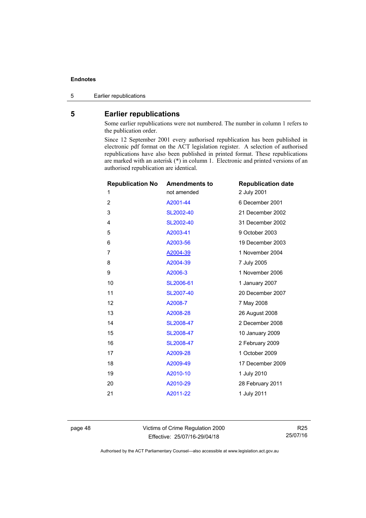5 Earlier republications

### <span id="page-53-0"></span>**5 Earlier republications**

Some earlier republications were not numbered. The number in column 1 refers to the publication order.

Since 12 September 2001 every authorised republication has been published in electronic pdf format on the ACT legislation register. A selection of authorised republications have also been published in printed format. These republications are marked with an asterisk (\*) in column 1. Electronic and printed versions of an authorised republication are identical.

| <b>Republication No</b> | <b>Amendments to</b> | <b>Republication date</b> |
|-------------------------|----------------------|---------------------------|
| 1                       | not amended          | 2 July 2001               |
| $\overline{2}$          | A2001-44             | 6 December 2001           |
| 3                       | SL2002-40            | 21 December 2002          |
| 4                       | SL2002-40            | 31 December 2002          |
| 5                       | A2003-41             | 9 October 2003            |
| 6                       | A2003-56             | 19 December 2003          |
| 7                       | A2004-39             | 1 November 2004           |
| 8                       | A2004-39             | 7 July 2005               |
| 9                       | A2006-3              | 1 November 2006           |
| 10                      | SL2006-61            | 1 January 2007            |
| 11                      | SL2007-40            | 20 December 2007          |
| 12                      | A2008-7              | 7 May 2008                |
| 13                      | A2008-28             | 26 August 2008            |
| 14                      | SL2008-47            | 2 December 2008           |
| 15                      | SL2008-47            | 10 January 2009           |
| 16                      | SL2008-47            | 2 February 2009           |
| 17                      | A2009-28             | 1 October 2009            |
| 18                      | A2009-49             | 17 December 2009          |
| 19                      | A2010-10             | 1 July 2010               |
| 20                      | A2010-29             | 28 February 2011          |
| 21                      | A2011-22             | 1 July 2011               |
|                         |                      |                           |

page 48 Victims of Crime Regulation 2000 Effective: 25/07/16-29/04/18

R25 25/07/16